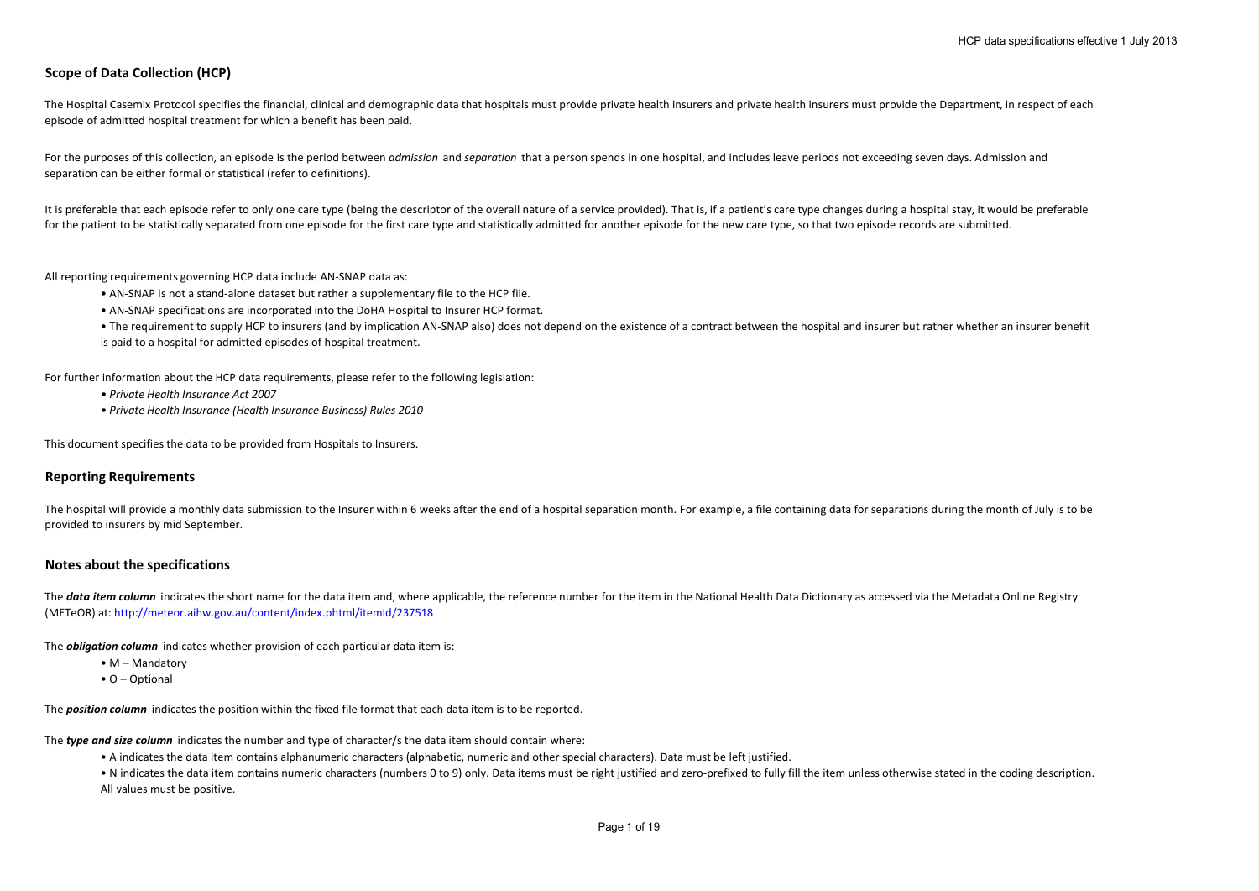# **Scope of Data Collection (HCP)**

The Hospital Casemix Protocol specifies the financial, clinical and demographic data that hospitals must provide private health insurers and private health insurers must provide the Department, in respect of each episode of admitted hospital treatment for which a benefit has been paid.

For the purposes of this collection, an episode is the period between *admission* and *separation* that a person spends in one hospital, and includes leave periods not exceeding seven days. Admission and separation can be either formal or statistical (refer to definitions).

It is preferable that each episode refer to only one care type (being the descriptor of the overall nature of a service provided). That is, if a patient's care type changes during a hospital stay, it would be preferable for the patient to be statistically separated from one episode for the first care type and statistically admitted for another episode for the new care type, so that two episode records are submitted.

All reporting requirements governing HCP data include AN-SNAP data as:

- AN-SNAP is not a stand-alone dataset but rather a supplementary file to the HCP file.
- AN-SNAP specifications are incorporated into the DoHA Hospital to Insurer HCP format.
- The requirement to supply HCP to insurers (and by implication AN-SNAP also) does not depend on the existence of a contract between the hospital and insurer but rather whether an insurer benefit is paid to a hospital for admitted episodes of hospital treatment.

For further information about the HCP data requirements, please refer to the following legislation:

- *Private Health Insurance Act 2007*
- *Private Health Insurance (Health Insurance Business) Rules 2010*

This document specifies the data to be provided from Hospitals to Insurers.

#### **Reporting Requirements**

The hospital will provide a monthly data submission to the Insurer within 6 weeks after the end of a hospital separation month. For example, a file containing data for separations during the month of July is to be provided to insurers by mid September.

#### **Notes about the specifications**

The **data item column** indicates the short name for the data item and, where applicable, the reference number for the item in the National Health Data Dictionary as accessed via the Metadata Online Registry (METeOR) at: http://meteor.aihw.gov.au/content/index.phtml/itemId/237518

The *obligation column* indicates whether provision of each particular data item is:

- M Mandatory
- O Optional

The *position column* indicates the position within the fixed file format that each data item is to be reported.

The *type and size column* indicates the number and type of character/s the data item should contain where:

• A indicates the data item contains alphanumeric characters (alphabetic, numeric and other special characters). Data must be left justified.

• N indicates the data item contains numeric characters (numbers 0 to 9) only. Data items must be right justified and zero-prefixed to fully fill the item unless otherwise stated in the coding description. All values must be positive.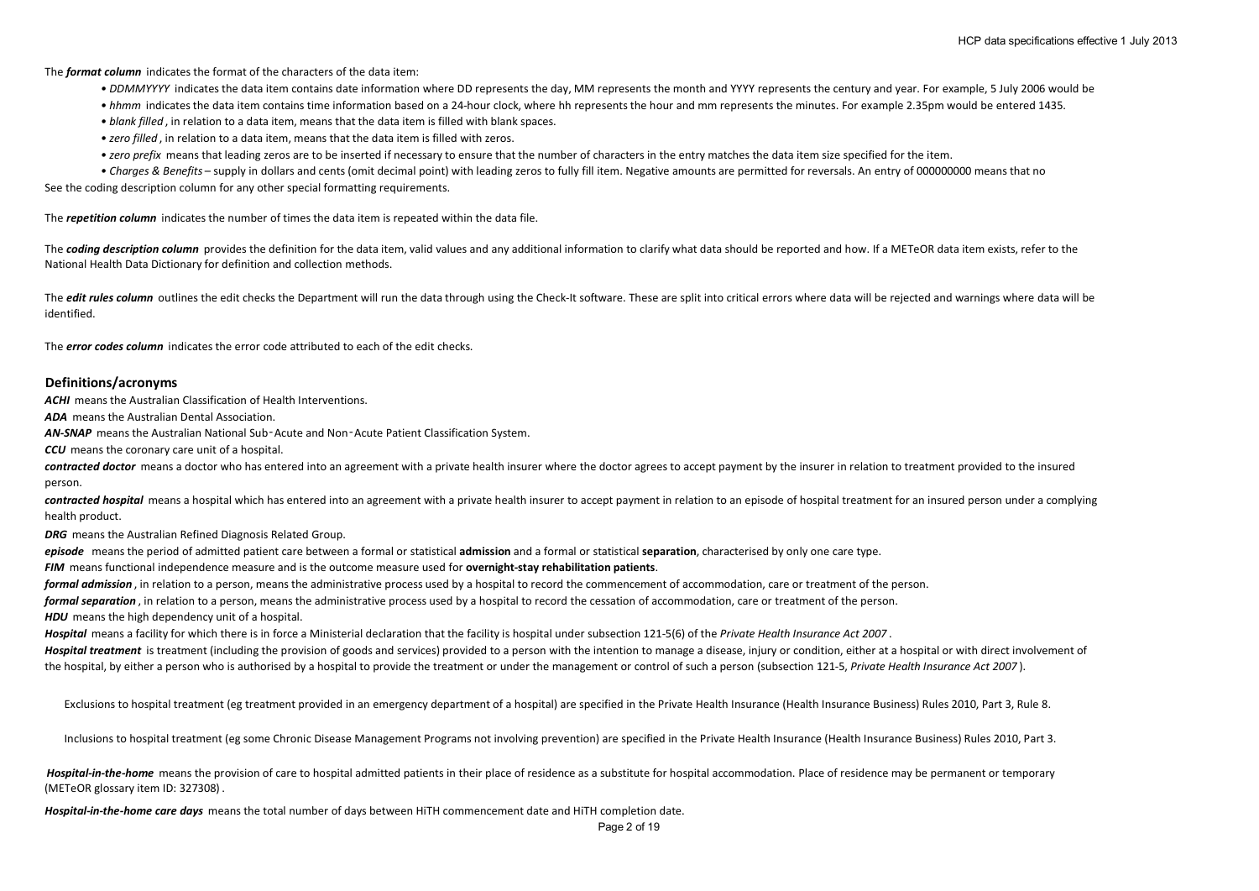The *format column* indicates the format of the characters of the data item:

- DDMMYYYY indicates the data item contains date information where DD represents the day, MM represents the month and YYYY represents the century and year. For example, 5 July 2006 would be
- *hhmm* indicates the data item contains time information based on a 24-hour clock, where hh represents the hour and mm represents the minutes. For example 2.35pm would be entered 1435.
- *blank filled* , in relation to a data item, means that the data item is filled with blank spaces.
- *zero filled* , in relation to a data item, means that the data item is filled with zeros.
- *zero prefix* means that leading zeros are to be inserted if necessary to ensure that the number of characters in the entry matches the data item size specified for the item.
- See the coding description column for any other special formatting requirements. *• Charges & Benefits* – supply in dollars and cents (omit decimal point) with leading zeros to fully fill item. Negative amounts are permitted for reversals. An entry of 000000000 means that no

The *repetition column* indicates the number of times the data item is repeated within the data file.

The **coding description column** provides the definition for the data item, valid values and any additional information to clarify what data should be reported and how. If a METeOR data item exists, refer to the National Health Data Dictionary for definition and collection methods.

The *edit rules column* outlines the edit checks the Department will run the data through using the Check-It software. These are split into critical errors where data will be rejected and warnings where data will be identified.

The *error codes column* indicates the error code attributed to each of the edit checks.

#### **Definitions/acronyms**

*ACHI* means the Australian Classification of Health Interventions.

*ADA* means the Australian Dental Association.

*AN-SNAP* means the Australian National Sub‑Acute and Non‑Acute Patient Classification System.

*CCU* means the coronary care unit of a hospital.

**contracted doctor** means a doctor who has entered into an agreement with a private health insurer where the doctor agrees to accept payment by the insurer in relation to treatment provided to the insured person.

contracted hospital means a hospital which has entered into an agreement with a private health insurer to accept payment in relation to an episode of hospital treatment for an insured person under a complying health product.

*DRG* means the Australian Refined Diagnosis Related Group.

*episode* means the period of admitted patient care between a formal or statistical **admission** and a formal or statistical **separation**, characterised by only one care type.

*FIM* means functional independence measure and is the outcome measure used for **overnight-stay rehabilitation patients**.

*formal admission* , in relation to a person, means the administrative process used by a hospital to record the commencement of accommodation, care or treatment of the person.

*formal separation* , in relation to a person, means the administrative process used by a hospital to record the cessation of accommodation, care or treatment of the person.

**HDU** means the high dependency unit of a hospital.

*Hospital* means a facility for which there is in force a Ministerial declaration that the facility is hospital under subsection 121-5(6) of the *Private Health Insurance Act 2007* .

Hospital treatment is treatment (including the provision of goods and services) provided to a person with the intention to manage a disease, injury or condition, either at a hospital or with direct involvement of the hospital, by either a person who is authorised by a hospital to provide the treatment or under the management or control of such a person (subsection 121-5, *Private Health Insurance Act 2007* ).

Exclusions to hospital treatment (eg treatment provided in an emergency department of a hospital) are specified in the Private Health Insurance (Health Insurance Business) Rules 2010, Part 3, Rule 8.

Inclusions to hospital treatment (eg some Chronic Disease Management Programs not involving prevention) are specified in the Private Health Insurance (Health Insurance Business) Rules 2010, Part 3.

Hospital-in-the-home means the provision of care to hospital admitted patients in their place of residence as a substitute for hospital accommodation. Place of residence may be permanent or temporary (METeOR glossary item ID: 327308) .

*Hospital-in-the-home care days* means the total number of days between HiTH commencement date and HiTH completion date.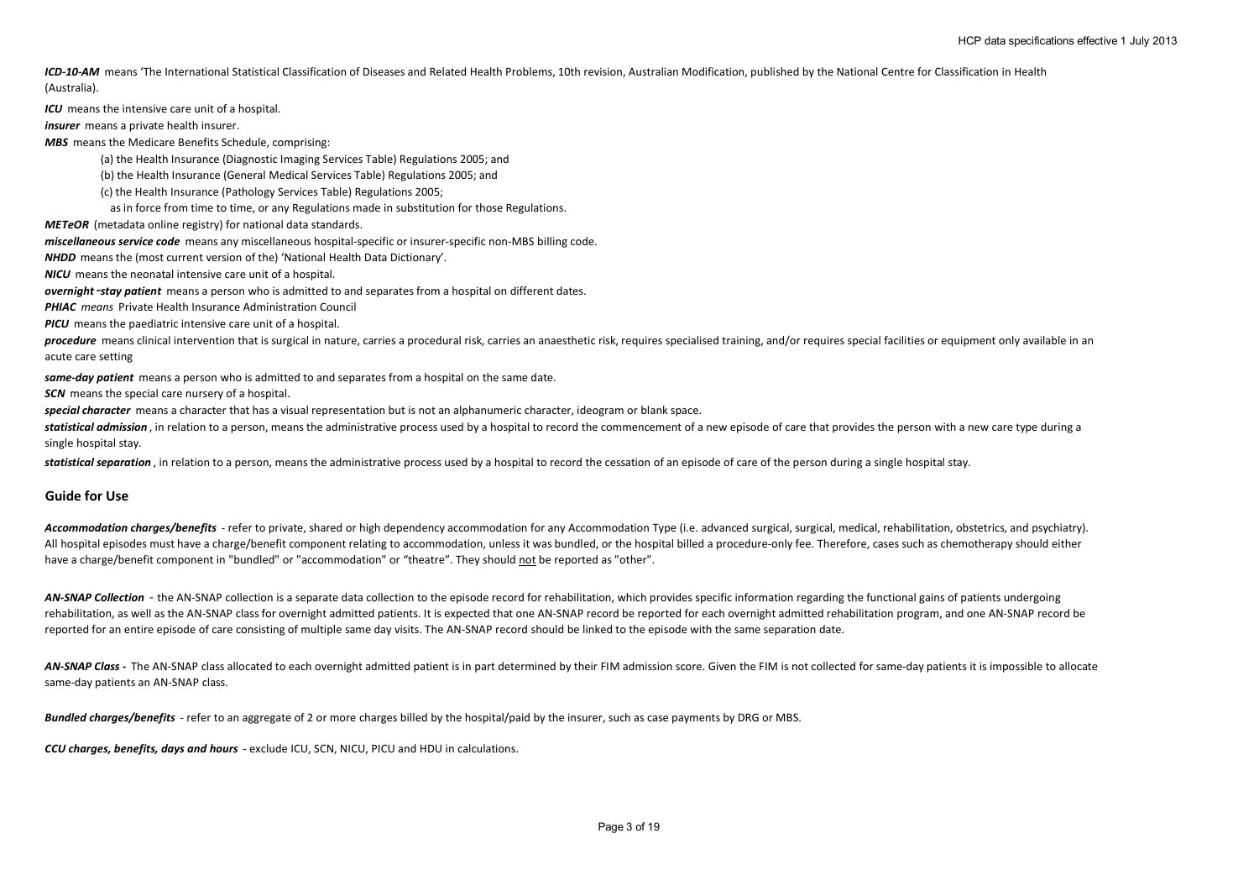ICD-10-AM means 'The International Statistical Classification of Diseases and Related Health Problems, 10th revision, Australian Modification, published by the National Centre for Classification in Health (Australia).

*ICU* means the intensive care unit of a hospital.

*insurer* means a private health insurer.

*MBS* means the Medicare Benefits Schedule, comprising:

(a) the Health Insurance (Diagnostic Imaging Services Table) Regulations 2005; and

(b) the Health Insurance (General Medical Services Table) Regulations 2005; and

(c) the Health Insurance (Pathology Services Table) Regulations 2005;

as in force from time to time, or any Regulations made in substitution for those Regulations.

*METeOR* (metadata online registry) for national data standards.

*miscellaneous service code* means any miscellaneous hospital-specific or insurer-specific non-MBS billing code.

*NHDD* means the (most current version of the) 'National Health Data Dictionary'.

*NICU* means the neonatal intensive care unit of a hospital.

*overnight*‑*stay patient* means a person who is admitted to and separates from a hospital on different dates.

*PHIAC means* Private Health Insurance Administration Council

*PICU* means the paediatric intensive care unit of a hospital.

procedure means clinical intervention that is surgical in nature, carries a procedural risk, carries an anaesthetic risk, requires specialised training, and/or requires special facilities or equipment only available in an acute care setting

*same-day patient* means a person who is admitted to and separates from a hospital on the same date.

**SCN** means the special care nursery of a hospital.

*special character* means a character that has a visual representation but is not an alphanumeric character, ideogram or blank space.

statistical admission, in relation to a person, means the administrative process used by a hospital to record the commencement of a new episode of care that provides the person with a new care type during a single hospital stay.

*statistical separation* , in relation to a person, means the administrative process used by a hospital to record the cessation of an episode of care of the person during a single hospital stay.

#### **Guide for Use**

Accommodation charges/benefits - refer to private, shared or high dependency accommodation for any Accommodation Type (i.e. advanced surgical, surgical, medical, rehabilitation, obstetrics, and psychiatry). All hospital episodes must have a charge/benefit component relating to accommodation, unless it was bundled, or the hospital billed a procedure-only fee. Therefore, cases such as chemotherapy should either have a charge/benefit component in "bundled" or "accommodation" or "theatre". They should not be reported as "other".

AN-SNAP Collection - the AN-SNAP collection is a separate data collection to the episode record for rehabilitation, which provides specific information regarding the functional gains of patients undergoing rehabilitation, as well as the AN-SNAP class for overnight admitted patients. It is expected that one AN-SNAP record be reported for each overnight admitted rehabilitation program, and one AN-SNAP record be reported for an entire episode of care consisting of multiple same day visits. The AN-SNAP record should be linked to the episode with the same separation date.

AN-SNAP Class - The AN-SNAP class allocated to each overnight admitted patient is in part determined by their FIM admission score. Given the FIM is not collected for same-day patients it is impossible to allocate same-day patients an AN-SNAP class.

*Bundled charges/benefits* - refer to an aggregate of 2 or more charges billed by the hospital/paid by the insurer, such as case payments by DRG or MBS.

*CCU charges, benefits, days and hours* - exclude ICU, SCN, NICU, PICU and HDU in calculations.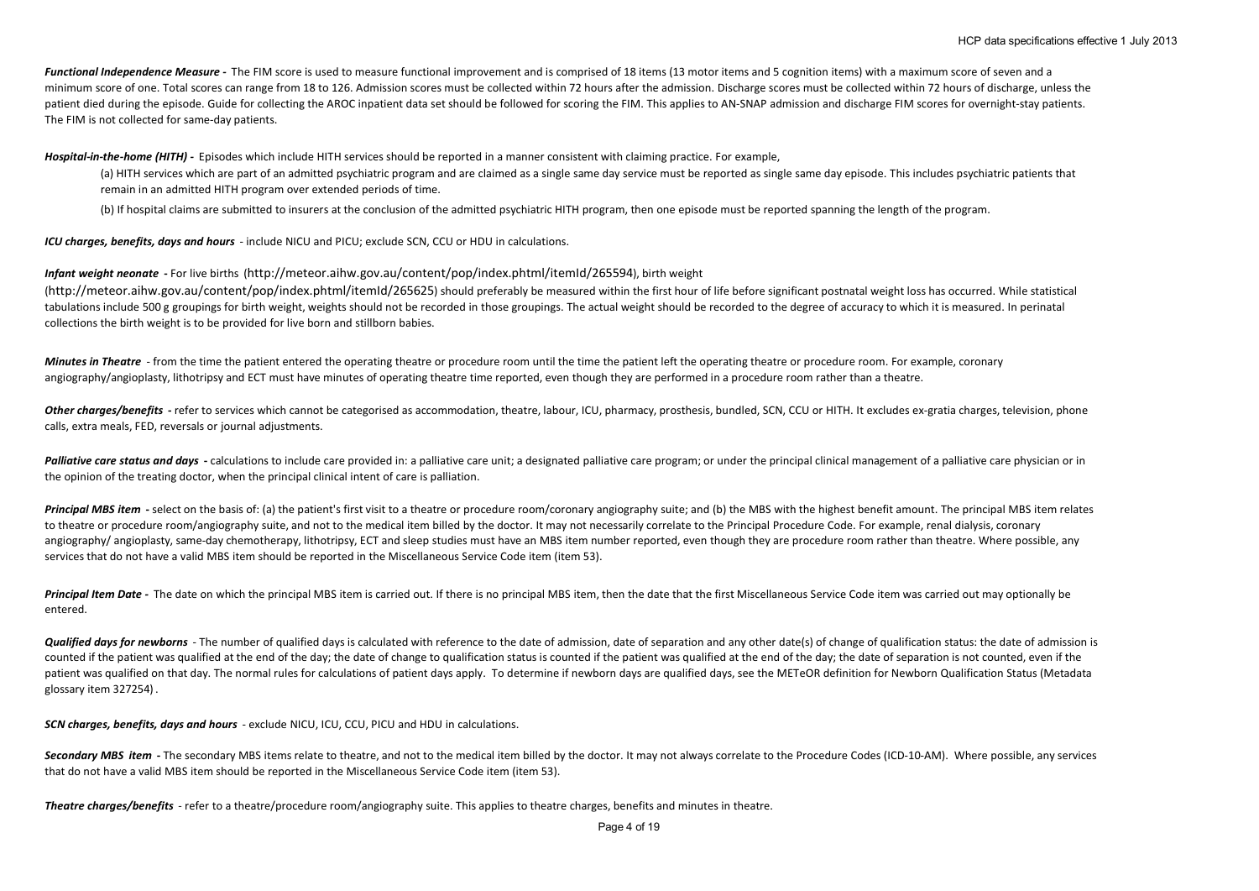*Functional Independence Measure -* The FIM score is used to measure functional improvement and is comprised of 18 items (13 motor items and 5 cognition items) with a maximum score of seven and a minimum score of one. Total scores can range from 18 to 126. Admission scores must be collected within 72 hours after the admission. Discharge scores must be collected within 72 hours of discharge, unless the patient died during the episode. Guide for collecting the AROC inpatient data set should be followed for scoring the FIM. This applies to AN-SNAP admission and discharge FIM scores for overnight-stay patients. The FIM is not collected for same-day patients.

*Hospital-in-the-home (HITH) -* Episodes which include HITH services should be reported in a manner consistent with claiming practice. For example,

(a) HITH services which are part of an admitted psychiatric program and are claimed as a single same day service must be reported as single same day episode. This includes psychiatric patients that remain in an admitted HITH program over extended periods of time.

(b) If hospital claims are submitted to insurers at the conclusion of the admitted psychiatric HITH program, then one episode must be reported spanning the length of the program.

*ICU charges, benefits, days and hours* - include NICU and PICU; exclude SCN, CCU or HDU in calculations.

*Infant weight neonate* **-** For live births (http://meteor.aihw.gov.au/content/pop/index.phtml/itemId/265594), birth weight

(http://meteor.aihw.gov.au/content/pop/index.phtml/itemId/265625) should preferably be measured within the first hour of life before significant postnatal weight loss has occurred. While statistical tabulations include 500 g groupings for birth weight, weights should not be recorded in those groupings. The actual weight should be recorded to the degree of accuracy to which it is measured. In perinatal collections the birth weight is to be provided for live born and stillborn babies.

*Minutes in Theatre* - from the time the patient entered the operating theatre or procedure room until the time the patient left the operating theatre or procedure room. For example, coronary angiography/angioplasty, lithotripsy and ECT must have minutes of operating theatre time reported, even though they are performed in a procedure room rather than a theatre.

Other charges/benefits - refer to services which cannot be categorised as accommodation, theatre, labour, ICU, pharmacy, prosthesis, bundled, SCN, CCU or HITH. It excludes ex-gratia charges, television, phone calls, extra meals, FED, reversals or journal adjustments.

**Palliative care status and days** - calculations to include care provided in: a palliative care unit; a designated palliative care program; or under the principal clinical management of a palliative care physician or in the opinion of the treating doctor, when the principal clinical intent of care is palliation.

Principal MBS item - select on the basis of: (a) the patient's first visit to a theatre or procedure room/coronary angiography suite; and (b) the MBS with the highest benefit amount. The principal MBS item relates to theatre or procedure room/angiography suite, and not to the medical item billed by the doctor. It may not necessarily correlate to the Principal Procedure Code. For example, renal dialysis, coronary angiography/ angioplasty, same-day chemotherapy, lithotripsy, ECT and sleep studies must have an MBS item number reported, even though they are procedure room rather than theatre. Where possible, any services that do not have a valid MBS item should be reported in the Miscellaneous Service Code item (item 53).

Principal Item Date - The date on which the principal MBS item is carried out. If there is no principal MBS item, then the date that the first Miscellaneous Service Code item was carried out may optionally be entered.

Qualified days for newborns - The number of qualified days is calculated with reference to the date of admission, date of separation and any other date(s) of change of qualification status: the date of admission is counted if the patient was qualified at the end of the day; the date of change to qualification status is counted if the patient was qualified at the end of the day; the date of separation is not counted, even if the patient was qualified on that day. The normal rules for calculations of patient days apply. To determine if newborn days are qualified days, see the METeOR definition for Newborn Qualification Status (Metadata glossary item 327254) .

*SCN charges, benefits, days and hours* - exclude NICU, ICU, CCU, PICU and HDU in calculations.

Secondary MBS item - The secondary MBS items relate to theatre, and not to the medical item billed by the doctor. It may not always correlate to the Procedure Codes (ICD-10-AM). Where possible, any services that do not have a valid MBS item should be reported in the Miscellaneous Service Code item (item 53).

*Theatre charges/benefits* - refer to a theatre/procedure room/angiography suite. This applies to theatre charges, benefits and minutes in theatre.

Page 4 of 19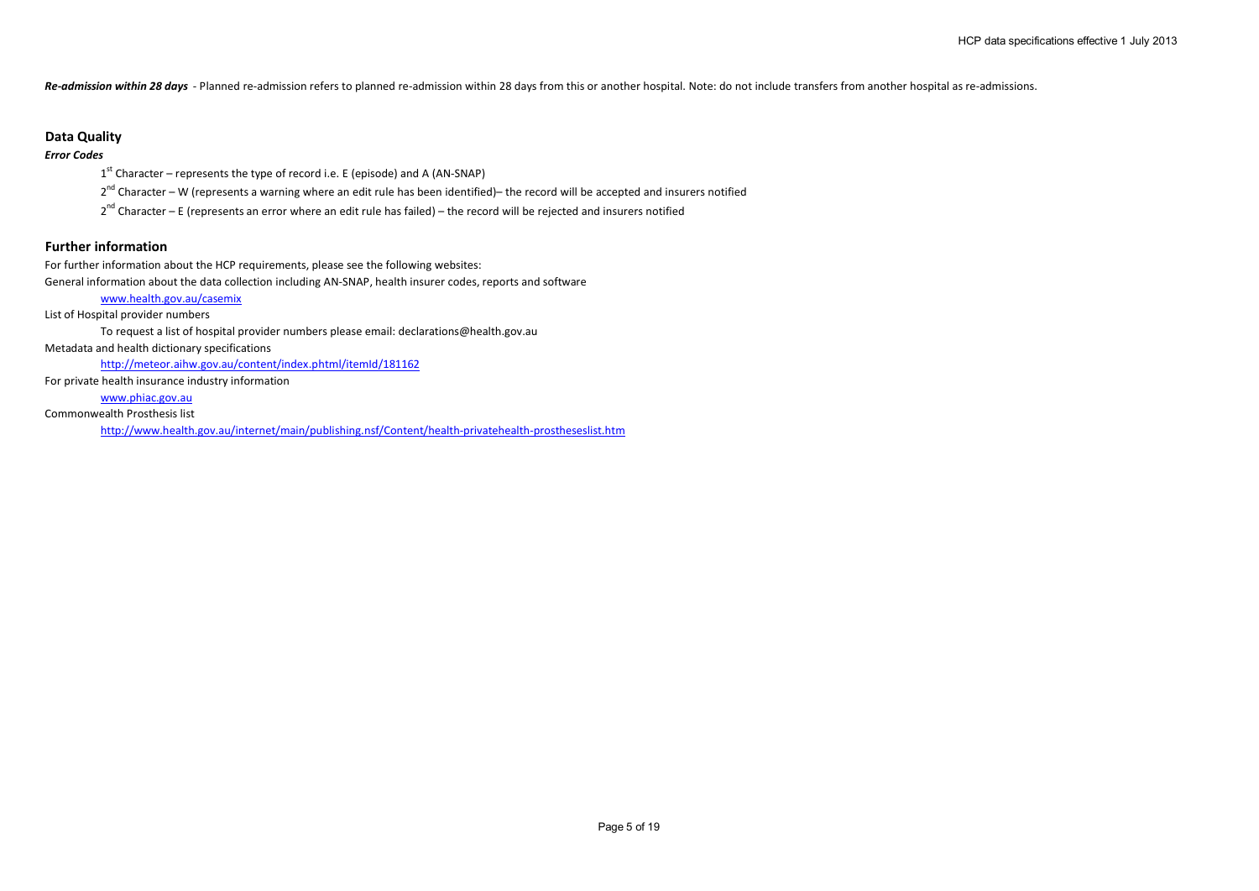*Re-admission within 28 days* - Planned re-admission refers to planned re-admission within 28 days from this or another hospital. Note: do not include transfers from another hospital as re-admissions.

## **Data Quality**

## *Error Codes*

 $1<sup>st</sup>$  Character – represents the type of record i.e. E (episode) and A (AN-SNAP)

 $2^{nd}$  Character – W (represents a warning where an edit rule has been identified)– the record will be accepted and insurers notified

 $2^{nd}$  Character – E (represents an error where an edit rule has failed) – the record will be rejected and insurers notified

## **Further information**

For further information about the HCP requirements, please see the following websites:

General information about the data collection including AN-SNAP, health insurer codes, reports and software

## www.health.gov.au/casemix

List of Hospital provider numbers

To request a list of hospital provider numbers please email: declarations@health.gov.au

Metadata and health dictionary specifications

http://meteor.aihw.gov.au/content/index.phtml/itemId/181162

For private health insurance industry information

www.phiac.gov.au

Commonwealth Prosthesis list

http://www.health.gov.au/internet/main/publishing.nsf/Content/health-privatehealth-prostheseslist.htm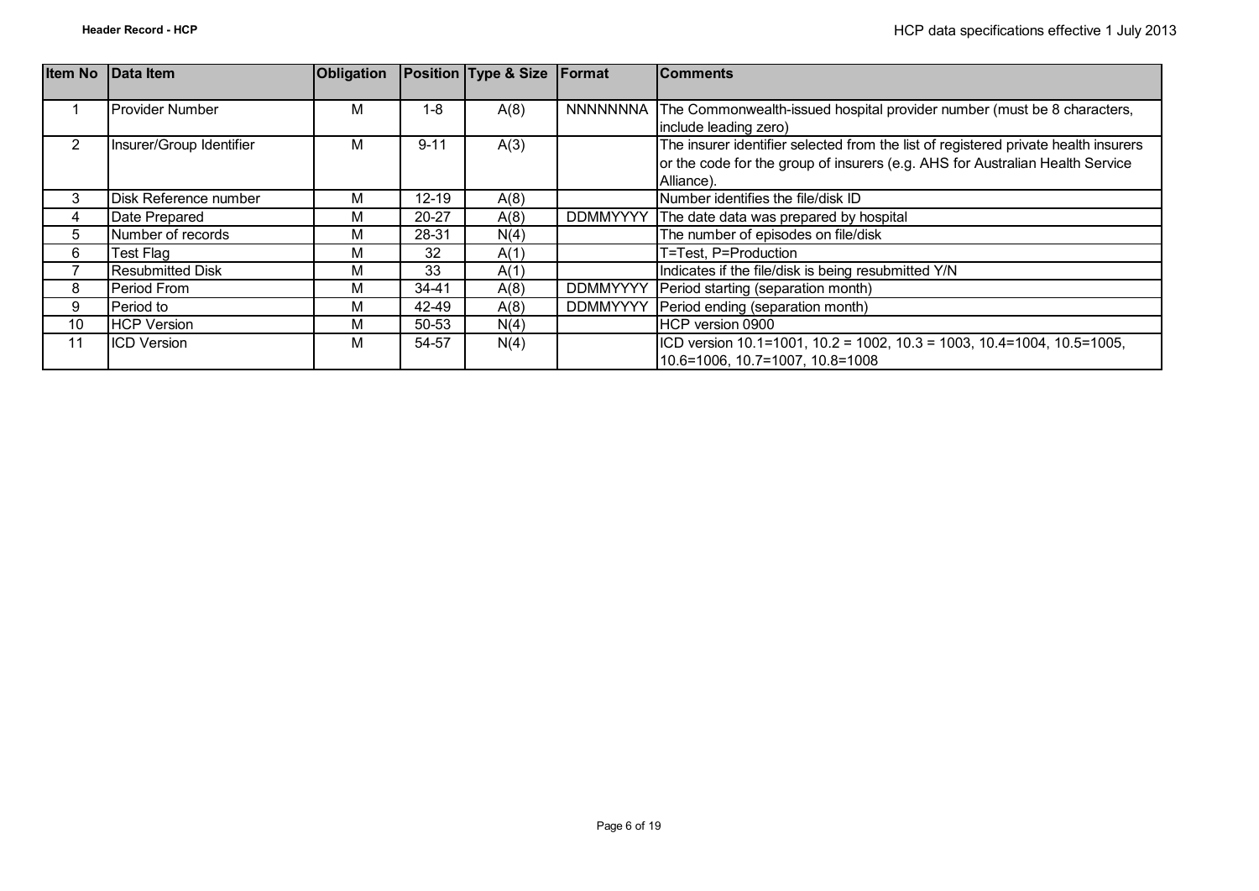| <b>Item No</b> | Data Item                | <b>Obligation</b> |           | <b>Position Type &amp; Size Format</b> |                 | <b>Comments</b>                                                                     |
|----------------|--------------------------|-------------------|-----------|----------------------------------------|-----------------|-------------------------------------------------------------------------------------|
|                |                          |                   |           |                                        |                 |                                                                                     |
|                | <b>Provider Number</b>   | м                 | $1 - 8$   | A(8)                                   | <b>NNNNNNNA</b> | The Commonwealth-issued hospital provider number (must be 8 characters,             |
|                |                          |                   |           |                                        |                 | include leading zero)                                                               |
| $\overline{2}$ | Insurer/Group Identifier | м                 | $9 - 11$  | A(3)                                   |                 | The insurer identifier selected from the list of registered private health insurers |
|                |                          |                   |           |                                        |                 | or the code for the group of insurers (e.g. AHS for Australian Health Service       |
|                |                          |                   |           |                                        |                 | Alliance).                                                                          |
| 3              | Disk Reference number    | М                 | $12 - 19$ | A(8)                                   |                 | Number identifies the file/disk ID                                                  |
| 4              | Date Prepared            | м                 | $20 - 27$ | A(8)                                   | <b>DDMMYYYY</b> | The date data was prepared by hospital                                              |
| 5              | Number of records        | М                 | 28-31     | N(4)                                   |                 | The number of episodes on file/disk                                                 |
| 6              | Test Flag                | м                 | 32        | A(1)                                   |                 | T=Test, P=Production                                                                |
|                | <b>Resubmitted Disk</b>  | М                 | 33        | A(1)                                   |                 | Indicates if the file/disk is being resubmitted Y/N                                 |
| 8              | Period From              | м                 | $34 - 41$ | A(8)                                   | <b>DDMMYYYY</b> | Period starting (separation month)                                                  |
| 9              | Period to                | М                 | 42-49     | A(8)                                   | <b>DDMMYYYY</b> | Period ending (separation month)                                                    |
| 10             | <b>HCP Version</b>       | М                 | 50-53     | N(4)                                   |                 | HCP version 0900                                                                    |
| 11             | <b>ICD Version</b>       | М                 | 54-57     | N(4)                                   |                 | ICD version 10.1=1001, 10.2 = 1002, 10.3 = 1003, 10.4=1004, 10.5=1005,              |
|                |                          |                   |           |                                        |                 | 10.6=1006, 10.7=1007, 10.8=1008                                                     |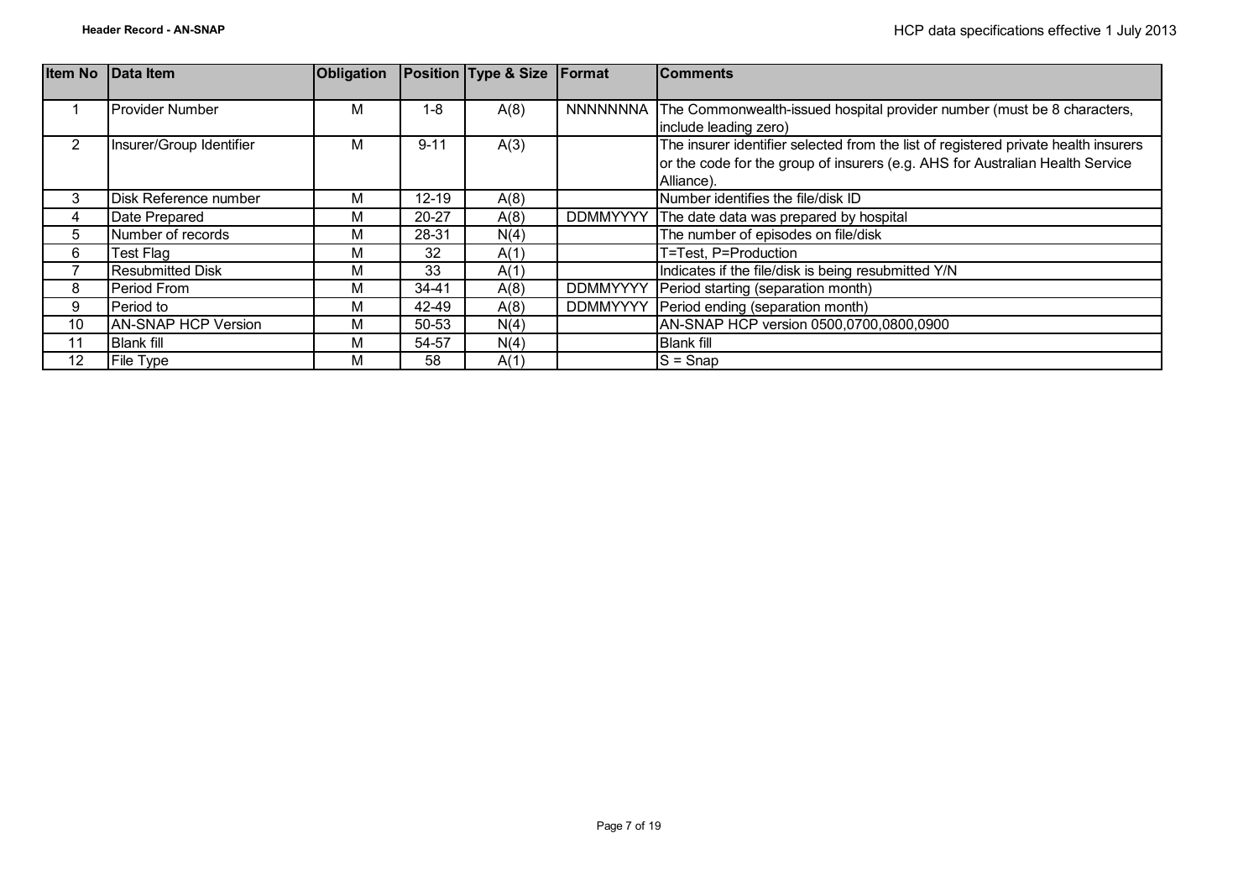| <b>Item No</b> | <b>IData Item</b>          | <b>Obligation</b> |           | <b>Position Type &amp; Size Format</b> |                 | <b>Comments</b>                                                                     |
|----------------|----------------------------|-------------------|-----------|----------------------------------------|-----------------|-------------------------------------------------------------------------------------|
|                |                            |                   |           |                                        |                 |                                                                                     |
|                | Provider Number            | м                 | 1-8       | A(8)                                   |                 | NNNNNNNA The Commonwealth-issued hospital provider number (must be 8 characters,    |
|                |                            |                   |           |                                        |                 | include leading zero)                                                               |
| $\overline{2}$ | Insurer/Group Identifier   | М                 | $9 - 11$  | A(3)                                   |                 | The insurer identifier selected from the list of registered private health insurers |
|                |                            |                   |           |                                        |                 | or the code for the group of insurers (e.g. AHS for Australian Health Service       |
|                |                            |                   |           |                                        |                 | Alliance).                                                                          |
| 3              | Disk Reference number      | м                 | $12 - 19$ | A(8)                                   |                 | Number identifies the file/disk ID                                                  |
| 4              | Date Prepared              | М                 | $20 - 27$ | A(8)                                   | <b>DDMMYYYY</b> | The date data was prepared by hospital                                              |
| 5              | Number of records          | М                 | 28-31     | N(4)                                   |                 | The number of episodes on file/disk                                                 |
| 6              | Test Flag                  | М                 | 32        | A(1)                                   |                 | T=Test, P=Production                                                                |
|                | <b>Resubmitted Disk</b>    | М                 | 33        | A(1)                                   |                 | Indicates if the file/disk is being resubmitted Y/N                                 |
| 8              | Period From                | М                 | 34-41     | A(8)                                   | <b>DDMMYYYY</b> | Period starting (separation month)                                                  |
| 9              | Period to                  | м                 | 42-49     | A(8)                                   | <b>DDMMYYYY</b> | Period ending (separation month)                                                    |
| 10             | <b>AN-SNAP HCP Version</b> | м                 | 50-53     | N(4)                                   |                 | AN-SNAP HCP version 0500,0700,0800,0900                                             |
| 11             | <b>Blank fill</b>          | М                 | 54-57     | N(4)                                   |                 | <b>Blank fill</b>                                                                   |
| 12             | File Type                  | М                 | 58        | A(1)                                   |                 | $S =$ Snap                                                                          |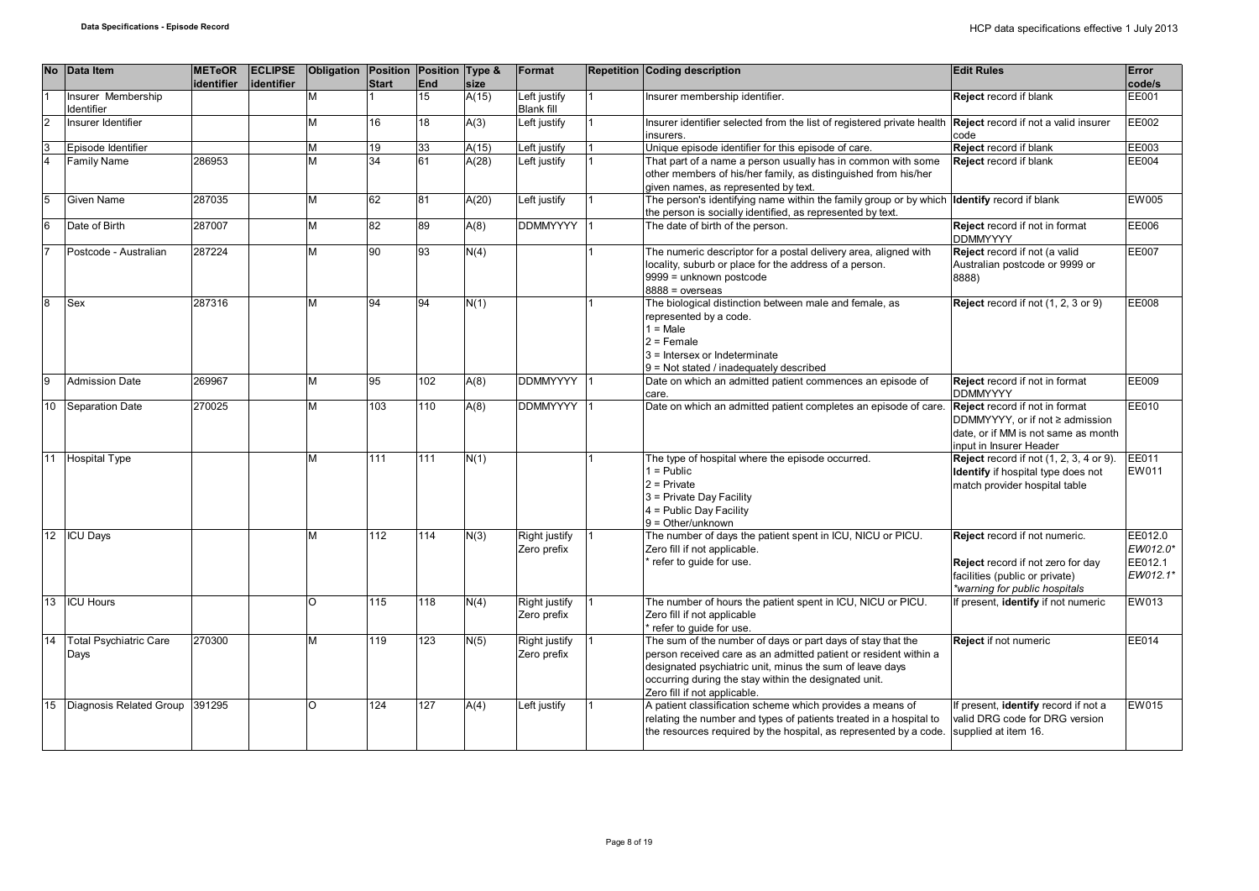|          | No Data Item                          | <b>METeOR</b><br>identifier | <b>ECLIPSE</b><br>identifier | Obligation Position Position Type & | <b>Start</b> | End | size  | Format                              | <b>Repetition Coding description</b>                                                                                                                                                                                                                                                 | <b>Edit Rules</b>                                                                                                                     | Error<br>code/s                            |
|----------|---------------------------------------|-----------------------------|------------------------------|-------------------------------------|--------------|-----|-------|-------------------------------------|--------------------------------------------------------------------------------------------------------------------------------------------------------------------------------------------------------------------------------------------------------------------------------------|---------------------------------------------------------------------------------------------------------------------------------------|--------------------------------------------|
|          | Insurer Membership<br>Identifier      |                             |                              | M                                   |              | 15  | A(15) | Left justify<br><b>Blank fill</b>   | Insurer membership identifier.                                                                                                                                                                                                                                                       | Reject record if blank                                                                                                                | EE001                                      |
| 2        | Insurer Identifier                    |                             |                              | M                                   | 16           | 18  | A(3)  | Left justify                        | Insurer identifier selected from the list of registered private health<br>insurers.                                                                                                                                                                                                  | Reject record if not a valid insurer<br>code                                                                                          | EE002                                      |
| l3       | Episode Identifier                    |                             |                              | M                                   | 19           | 33  | A(15) | Left justify                        | Unique episode identifier for this episode of care.                                                                                                                                                                                                                                  | Reject record if blank                                                                                                                | EE003                                      |
| l4       | <b>Family Name</b>                    | 286953                      |                              | M                                   | 34           | 61  | A(28) | eft justify                         | That part of a name a person usually has in common with some<br>other members of his/her family, as distinguished from his/her<br>given names, as represented by text.                                                                                                               | Reject record if blank                                                                                                                | EE004                                      |
| 15       | Given Name                            | 287035                      |                              | M                                   | 62           | 81  | A(20) | Left justify                        | The person's identifying name within the family group or by which Identify record if blank<br>the person is socially identified, as represented by text.                                                                                                                             |                                                                                                                                       | <b>EW005</b>                               |
| 6        | Date of Birth                         | 287007                      |                              | M                                   | 82           | 89  | A(8)  | <b>DDMMYYYY</b>                     | The date of birth of the person.                                                                                                                                                                                                                                                     | Reject record if not in format<br><b>DDMMYYYY</b>                                                                                     | EE006                                      |
|          | Postcode - Australian                 | 287224                      |                              | M                                   | 90           | 93  | N(4)  |                                     | The numeric descriptor for a postal delivery area, aligned with<br>locality, suburb or place for the address of a person.<br>9999 = unknown postcode<br>$8888 = 0$ verseas                                                                                                           | Reject record if not (a valid<br>Australian postcode or 9999 or<br>(8888                                                              | <b>EE007</b>                               |
| lя       | Sex                                   | 287316                      |                              | M                                   | 94           | 94  | N(1)  |                                     | The biological distinction between male and female, as<br>represented by a code.<br>$1 = Male$<br>$2$ = Female<br>3 = Intersex or Indeterminate<br>9 = Not stated / inadequately described                                                                                           | Reject record if not (1, 2, 3 or 9)                                                                                                   | EE008                                      |
| <b>g</b> | <b>Admission Date</b>                 | 269967                      |                              | M                                   | 95           | 102 | A(8)  | <b>DDMMYYYY</b>                     | Date on which an admitted patient commences an episode of<br>care.                                                                                                                                                                                                                   | Reject record if not in format<br><b>DDMMYYYY</b>                                                                                     | EE009                                      |
| 10       | Separation Date                       | 270025                      |                              | M                                   | 103          | 110 | A(8)  | <b>DDMMYYYY</b>                     | Date on which an admitted patient completes an episode of care.                                                                                                                                                                                                                      | Reject record if not in format<br>DDMMYYYY, or if not ≥ admission<br>date, or if MM is not same as month<br>input in Insurer Header   | EE010                                      |
| 11       | <b>Hospital Type</b>                  |                             |                              | M                                   | 111          | 111 | N(1)  |                                     | The type of hospital where the episode occurred.<br>$1 = Public$<br>$2$ = Private<br>3 = Private Day Facility<br>4 = Public Day Facility<br>$9 = Other/unknown$                                                                                                                      | <b>Reject</b> record if not (1, 2, 3, 4 or 9).<br>Identify if hospital type does not<br>match provider hospital table                 | EE011<br>EW011                             |
|          | 12 ICU Days                           |                             |                              | M                                   | 112          | 114 | N(3)  | Right justify<br>Zero prefix        | The number of days the patient spent in ICU, NICU or PICU.<br>Zero fill if not applicable.<br>refer to quide for use.                                                                                                                                                                | Reject record if not numeric.<br>Reject record if not zero for day<br>facilities (public or private)<br>*warning for public hospitals | EE012.0<br>EW012.0*<br>EE012.1<br>EW012.1* |
| 13       | <b>ICU Hours</b>                      |                             |                              | $\circ$                             | 115          | 118 | N(4)  | Right justify<br>Zero prefix        | The number of hours the patient spent in ICU, NICU or PICU.<br>Zero fill if not applicable<br>refer to quide for use.                                                                                                                                                                | If present, identify if not numeric                                                                                                   | EW013                                      |
| 14       | <b>Total Psychiatric Care</b><br>Days | 270300                      |                              | M                                   | 119          | 123 | N(5)  | <b>Right justify</b><br>Zero prefix | The sum of the number of days or part days of stay that the<br>person received care as an admitted patient or resident within a<br>designated psychiatric unit, minus the sum of leave days<br>occurring during the stay within the designated unit.<br>Zero fill if not applicable. | Reject if not numeric                                                                                                                 | EE014                                      |
| 15       | Diagnosis Related Group               | 391295                      |                              | <sup>o</sup>                        | 124          | 127 | A(4)  | Left justify                        | A patient classification scheme which provides a means of<br>relating the number and types of patients treated in a hospital to<br>the resources required by the hospital, as represented by a code.                                                                                 | If present, identify record if not a<br>valid DRG code for DRG version<br>supplied at item 16.                                        | EW015                                      |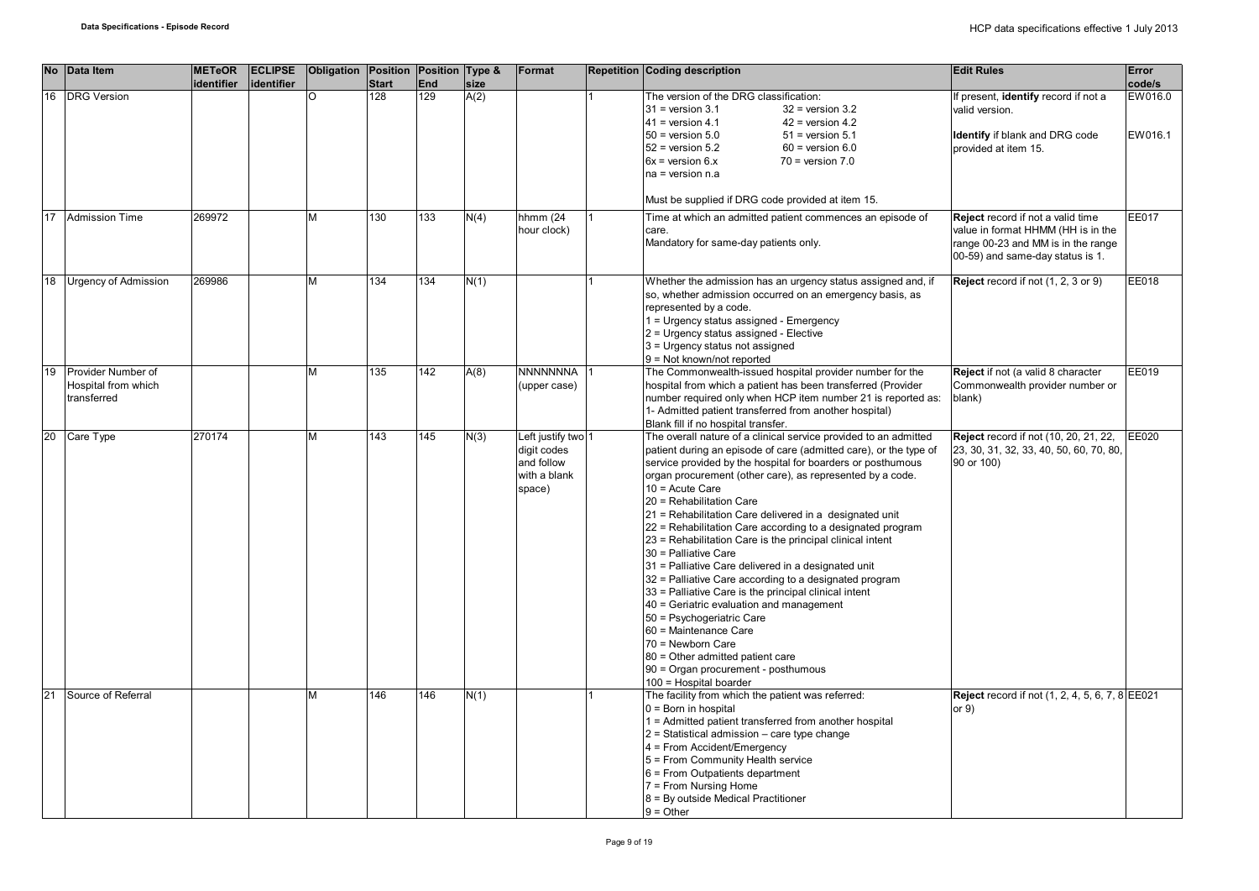| <b>No</b> | Data Item                                                | <b>METeOR</b><br>identifier | <b>ECLIPSE</b><br>identifier | Obligation Position Position Type & | <b>Start</b> | End | <b>size</b> | Format                                                                    | <b>Repetition Coding description</b>                                                                                                                                                                                                                                                                                                                                                                                                                                                                                                                                                                                                                                                                                                                                                                                                                                                                                                   | <b>Edit Rules</b>                                                                                                                                 | <b>Error</b><br>code/s |
|-----------|----------------------------------------------------------|-----------------------------|------------------------------|-------------------------------------|--------------|-----|-------------|---------------------------------------------------------------------------|----------------------------------------------------------------------------------------------------------------------------------------------------------------------------------------------------------------------------------------------------------------------------------------------------------------------------------------------------------------------------------------------------------------------------------------------------------------------------------------------------------------------------------------------------------------------------------------------------------------------------------------------------------------------------------------------------------------------------------------------------------------------------------------------------------------------------------------------------------------------------------------------------------------------------------------|---------------------------------------------------------------------------------------------------------------------------------------------------|------------------------|
| 16        | <b>DRG Version</b>                                       |                             |                              | O                                   | 128          | 129 | A(2)        |                                                                           | The version of the DRG classification:<br>$31$ = version $3.1$<br>$32$ = version 3.2<br>$41$ = version 4.1<br>$42$ = version 4.2<br>$50$ = version $5.0$<br>$51$ = version $5.1$<br>$52$ = version $5.2$<br>$60$ = version $6.0$<br>$6x =$ version $6.x$<br>$70$ = version $7.0$<br>$na = version n.a$                                                                                                                                                                                                                                                                                                                                                                                                                                                                                                                                                                                                                                 | If present, identify record if not a<br>valid version.<br><b>Identify</b> if blank and DRG code<br>provided at item 15.                           | EW016.0<br>EW016.1     |
|           |                                                          |                             |                              |                                     |              |     |             |                                                                           | Must be supplied if DRG code provided at item 15.                                                                                                                                                                                                                                                                                                                                                                                                                                                                                                                                                                                                                                                                                                                                                                                                                                                                                      |                                                                                                                                                   |                        |
| 17        | <b>Admission Time</b>                                    | 269972                      |                              | M                                   | 130          | 133 | N(4)        | hhmm (24<br>hour clock)                                                   | Time at which an admitted patient commences an episode of<br>care.<br>Mandatory for same-day patients only.                                                                                                                                                                                                                                                                                                                                                                                                                                                                                                                                                                                                                                                                                                                                                                                                                            | Reject record if not a valid time<br>value in format HHMM (HH is in the<br>range 00-23 and MM is in the range<br>00-59) and same-day status is 1. | EE017                  |
| 18        | <b>Urgency of Admission</b>                              | 269986                      |                              |                                     | 134          | 134 | N(1)        |                                                                           | Whether the admission has an urgency status assigned and, if<br>so, whether admission occurred on an emergency basis, as<br>represented by a code.<br>1 = Urgency status assigned - Emergency<br>2 = Urgency status assigned - Elective<br>3 = Urgency status not assigned<br>9 = Not known/not reported                                                                                                                                                                                                                                                                                                                                                                                                                                                                                                                                                                                                                               | Reject record if not (1, 2, 3 or 9)                                                                                                               | EE018                  |
| 19        | Provider Number of<br>Hospital from which<br>transferred |                             |                              |                                     | 135          | 142 | A(8)        | <b>NNNNNNNA</b><br>(upper case)                                           | The Commonwealth-issued hospital provider number for the<br>hospital from which a patient has been transferred (Provider<br>number required only when HCP item number 21 is reported as:<br>1- Admitted patient transferred from another hospital)<br>Blank fill if no hospital transfer.                                                                                                                                                                                                                                                                                                                                                                                                                                                                                                                                                                                                                                              | Reject if not (a valid 8 character<br>Commonwealth provider number or<br>blank)                                                                   | EE019                  |
| 20        | Care Type                                                | 270174                      |                              | м                                   | 143          | 145 | N(3)        | Left justify two 1<br>digit codes<br>and follow<br>with a blank<br>space) | The overall nature of a clinical service provided to an admitted<br>patient during an episode of care (admitted care), or the type of<br>service provided by the hospital for boarders or posthumous<br>organ procurement (other care), as represented by a code.<br>$10 =$ Acute Care<br>20 = Rehabilitation Care<br>21 = Rehabilitation Care delivered in a designated unit<br>22 = Rehabilitation Care according to a designated program<br>23 = Rehabilitation Care is the principal clinical intent<br>30 = Palliative Care<br>31 = Palliative Care delivered in a designated unit<br>32 = Palliative Care according to a designated program<br>33 = Palliative Care is the principal clinical intent<br>40 = Geriatric evaluation and management<br>50 = Psychogeriatric Care<br>60 = Maintenance Care<br>70 = Newborn Care<br>80 = Other admitted patient care<br>90 = Organ procurement - posthumous<br>100 = Hospital boarder | Reject record if not (10, 20, 21, 22,<br>23, 30, 31, 32, 33, 40, 50, 60, 70, 80,<br>90 or 100)                                                    | EE020                  |
| 21        | Source of Referral                                       |                             |                              | M                                   | 146          | 146 | N(1)        |                                                                           | The facility from which the patient was referred:<br>$0 = Born$ in hospital<br>1 = Admitted patient transferred from another hospital<br>$2$ = Statistical admission – care type change<br>4 = From Accident/Emergency<br>5 = From Community Health service<br>6 = From Outpatients department<br>7 = From Nursing Home<br>8 = By outside Medical Practitioner<br>$9 = Other$                                                                                                                                                                                                                                                                                                                                                                                                                                                                                                                                                          | <b>Reject</b> record if not (1, 2, 4, 5, 6, 7, 8 EE021<br>or $9)$                                                                                 |                        |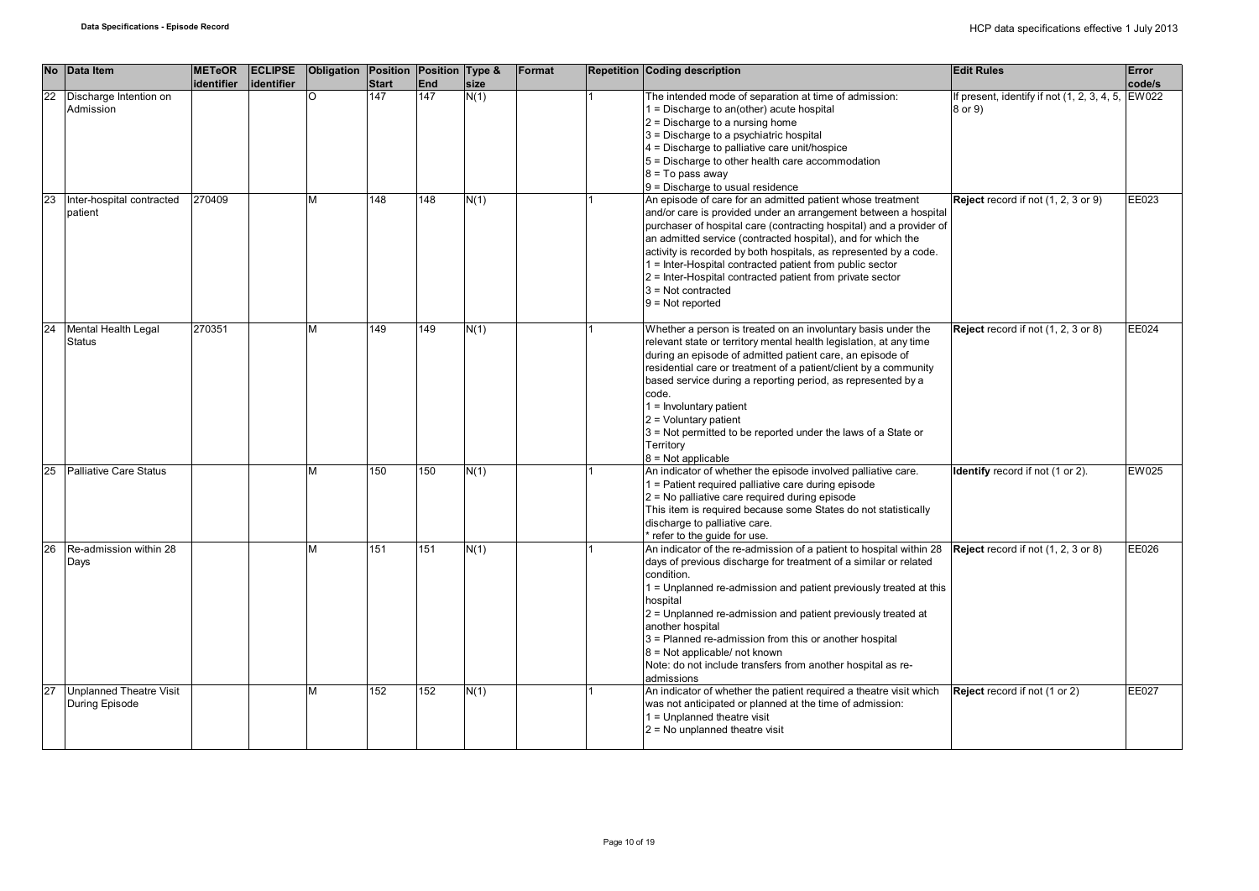| <b>No</b> | Data Item                                        | <b>METeOR</b><br><b>identifier</b> | <b>ECLIPSE</b><br>lidentifier | Obligation Position Position Type & | <b>Start</b> | End | size | Format | <b>Repetition Coding description</b>                                                                                                                                                                                                                                                                                                                                                                                                                                                                             | <b>Edit Rules</b>                                            | Error<br>code/s |
|-----------|--------------------------------------------------|------------------------------------|-------------------------------|-------------------------------------|--------------|-----|------|--------|------------------------------------------------------------------------------------------------------------------------------------------------------------------------------------------------------------------------------------------------------------------------------------------------------------------------------------------------------------------------------------------------------------------------------------------------------------------------------------------------------------------|--------------------------------------------------------------|-----------------|
| 22        | Discharge Intention on<br>Admission              |                                    |                               |                                     | 147          | 147 | N(1) |        | The intended mode of separation at time of admission:<br>$1 =$ Discharge to an(other) acute hospital<br>$2$ = Discharge to a nursing home<br>3 = Discharge to a psychiatric hospital<br>$4$ = Discharge to palliative care unit/hospice<br>5 = Discharge to other health care accommodation<br>8 = To pass away<br>$9$ = Discharge to usual residence                                                                                                                                                            | If present, identify if not (1, 2, 3, 4, 5, EW022<br>8 or 9) |                 |
| 23        | Inter-hospital contracted<br>patient             | 270409                             |                               | M                                   | 148          | 148 | N(1) |        | An episode of care for an admitted patient whose treatment<br>and/or care is provided under an arrangement between a hospital<br>purchaser of hospital care (contracting hospital) and a provider of<br>an admitted service (contracted hospital), and for which the<br>activity is recorded by both hospitals, as represented by a code.<br>1 = Inter-Hospital contracted patient from public sector<br>2 = Inter-Hospital contracted patient from private sector<br>$3$ = Not contracted<br>$9 = Not reported$ | Reject record if not (1, 2, 3 or 9)                          | EE023           |
| 24        | Mental Health Legal<br><b>Status</b>             | 270351                             |                               | NЛ                                  | 149          | 149 | N(1) |        | Whether a person is treated on an involuntary basis under the<br>relevant state or territory mental health legislation, at any time<br>during an episode of admitted patient care, an episode of<br>residential care or treatment of a patient/client by a community<br>based service during a reporting period, as represented by a<br>code.<br>$1 =$ Involuntary patient<br>$2 =$ Voluntary patient<br>3 = Not permitted to be reported under the laws of a State or<br>Territory<br>$8 = Not applicable$      | Reject record if not (1, 2, 3 or 8)                          | EE024           |
| 25        | <b>Palliative Care Status</b>                    |                                    |                               | M                                   | 150          | 150 | N(1) |        | An indicator of whether the episode involved palliative care.<br>1 = Patient required palliative care during episode<br>$2$ = No palliative care required during episode<br>This item is required because some States do not statistically<br>discharge to palliative care.<br>* refer to the guide for use.                                                                                                                                                                                                     | Identify record if not (1 or 2).                             | EW025           |
| 26        | Re-admission within 28<br>Days                   |                                    |                               | М                                   | 151          | 151 | N(1) |        | An indicator of the re-admission of a patient to hospital within 28<br>days of previous discharge for treatment of a similar or related<br>condition.<br>1 = Unplanned re-admission and patient previously treated at this<br>hospital<br>2 = Unplanned re-admission and patient previously treated at<br>another hospital<br>3 = Planned re-admission from this or another hospital<br>$8$ = Not applicable/ not known<br>Note: do not include transfers from another hospital as re-<br>admissions             | Reject record if not (1, 2, 3 or 8)                          | EE026           |
| 27        | <b>Unplanned Theatre Visit</b><br>During Episode |                                    |                               | M                                   | 152          | 152 | N(1) |        | An indicator of whether the patient required a theatre visit which<br>was not anticipated or planned at the time of admission:<br>1 = Unplanned theatre visit<br>$2$ = No unplanned theatre visit                                                                                                                                                                                                                                                                                                                | <b>Reject</b> record if not (1 or 2)                         | EE027           |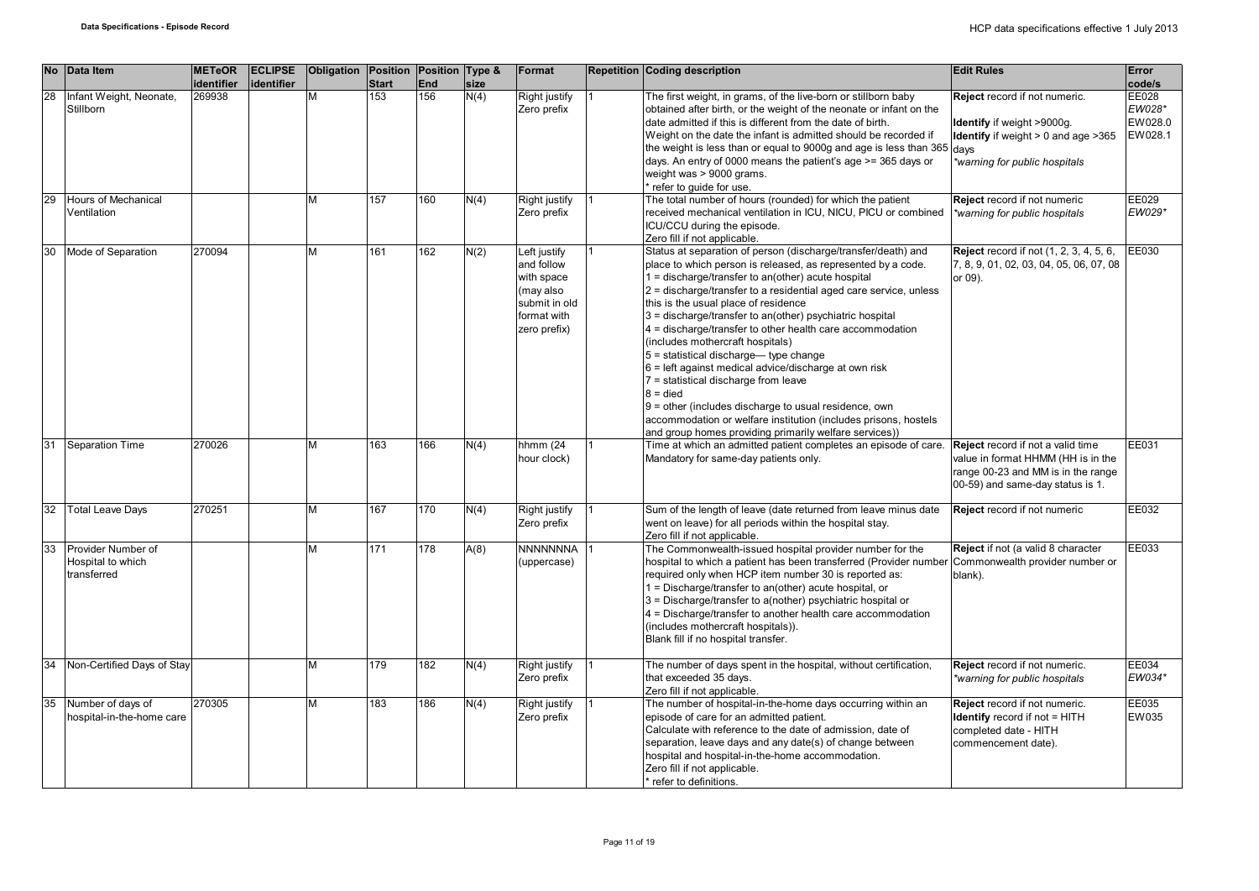| <b>No</b> | Data Item                                              | <b>METeOR</b><br>identifier | <b>ECLIPSE</b><br>identifier | Obligation Position Position Type & | <b>Start</b> | <b>End</b> | size | Format                                                                                                | <b>Repetition Coding description</b>                                                                                                                                                                                                                                                                                                                                                                                                                                                                                                                                                                                                                                                                                                                                                                                | <b>Edit Rules</b>                                                                                                                                 | Error<br>code/s                       |
|-----------|--------------------------------------------------------|-----------------------------|------------------------------|-------------------------------------|--------------|------------|------|-------------------------------------------------------------------------------------------------------|---------------------------------------------------------------------------------------------------------------------------------------------------------------------------------------------------------------------------------------------------------------------------------------------------------------------------------------------------------------------------------------------------------------------------------------------------------------------------------------------------------------------------------------------------------------------------------------------------------------------------------------------------------------------------------------------------------------------------------------------------------------------------------------------------------------------|---------------------------------------------------------------------------------------------------------------------------------------------------|---------------------------------------|
| 28        | Infant Weight, Neonate,<br>Stillborn                   | 269938                      |                              | М                                   | 153          | 156        | N(4) | Right justify<br>Zero prefix                                                                          | The first weight, in grams, of the live-born or stillborn baby<br>obtained after birth, or the weight of the neonate or infant on the<br>date admitted if this is different from the date of birth.<br>Weight on the date the infant is admitted should be recorded if<br>the weight is less than or equal to 9000g and age is less than 365 days<br>days. An entry of 0000 means the patient's age >= 365 days or<br>weight was > 9000 grams.<br>refer to guide for use.                                                                                                                                                                                                                                                                                                                                           | Reject record if not numeric.<br>Identify if weight >9000g.<br><b>Identify</b> if weight $> 0$ and age $>365$<br>*warning for public hospitals    | EE028<br>EW028*<br>EW028.0<br>EW028.1 |
| 29        | Hours of Mechanical<br>Ventilation                     |                             |                              | м                                   | 157          | 160        | N(4) | Right justify<br>Zero prefix                                                                          | The total number of hours (rounded) for which the patient<br>received mechanical ventilation in ICU. NICU. PICU or combined<br>ICU/CCU during the episode.<br>Zero fill if not applicable.                                                                                                                                                                                                                                                                                                                                                                                                                                                                                                                                                                                                                          | Reject record if not numeric<br>*warning for public hospitals                                                                                     | EE029<br>EW029*                       |
| 30        | Mode of Separation                                     | 270094                      |                              | M                                   | 161          | 162        | N(2) | Left justify<br>and follow<br>with space<br>(may also<br>submit in old<br>format with<br>zero prefix) | Status at separation of person (discharge/transfer/death) and<br>place to which person is released, as represented by a code.<br>$1 =$ discharge/transfer to an(other) acute hospital<br>$2$ = discharge/transfer to a residential aged care service, unless<br>this is the usual place of residence<br>3 = discharge/transfer to an(other) psychiatric hospital<br>4 = discharge/transfer to other health care accommodation<br>(includes mothercraft hospitals)<br>5 = statistical discharge-type change<br>$6$ = left against medical advice/discharge at own risk<br>$7$ = statistical discharge from leave<br>$8 =$ died<br>9 = other (includes discharge to usual residence, own<br>accommodation or welfare institution (includes prisons, hostels<br>and group homes providing primarily welfare services)) | <b>Reject</b> record if not (1, 2, 3, 4, 5, 6,<br>7, 8, 9, 01, 02, 03, 04, 05, 06, 07, 08<br>or 09).                                              | $E$ <sub>E</sub> $E$ 030              |
| 31        | <b>Separation Time</b>                                 | 270026                      |                              | м                                   | 163          | 166        | N(4) | hhmm (24<br>hour clock)                                                                               | Time at which an admitted patient completes an episode of care.<br>Mandatory for same-day patients only.                                                                                                                                                                                                                                                                                                                                                                                                                                                                                                                                                                                                                                                                                                            | Reject record if not a valid time<br>value in format HHMM (HH is in the<br>range 00-23 and MM is in the range<br>00-59) and same-day status is 1. | EE031                                 |
| 32        | <b>Total Leave Days</b>                                | 270251                      |                              | м                                   | 167          | 170        | N(4) | Right justify<br>Zero prefix                                                                          | Sum of the length of leave (date returned from leave minus date<br>went on leave) for all periods within the hospital stay.<br>Zero fill if not applicable.                                                                                                                                                                                                                                                                                                                                                                                                                                                                                                                                                                                                                                                         | Reject record if not numeric                                                                                                                      | EE032                                 |
| 33        | Provider Number of<br>Hospital to which<br>transferred |                             |                              | м                                   | 171          | 178        | A(8) | NNNNNNNA<br>(uppercase)                                                                               | The Commonwealth-issued hospital provider number for the<br>hospital to which a patient has been transferred (Provider number<br>required only when HCP item number 30 is reported as:<br>1 = Discharge/transfer to an(other) acute hospital, or<br>3 = Discharge/transfer to a(nother) psychiatric hospital or<br>4 = Discharge/transfer to another health care accommodation<br>(includes mothercraft hospitals)).<br>Blank fill if no hospital transfer.                                                                                                                                                                                                                                                                                                                                                         | Reject if not (a valid 8 character<br>Commonwealth provider number or<br>blank).                                                                  | EE033                                 |
| 34        | Non-Certified Days of Stay                             |                             |                              | М                                   | 179          | 182        | N(4) | Right justify<br>Zero prefix                                                                          | The number of days spent in the hospital, without certification,<br>that exceeded 35 days.<br>Zero fill if not applicable.                                                                                                                                                                                                                                                                                                                                                                                                                                                                                                                                                                                                                                                                                          | Reject record if not numeric.<br>*warning for public hospitals                                                                                    | EE034<br>EW034*                       |
| 35        | Number of days of<br>hospital-in-the-home care         | 270305                      |                              | м                                   | 183          | 186        | N(4) | Right justify<br>Zero prefix                                                                          | The number of hospital-in-the-home days occurring within an<br>episode of care for an admitted patient.<br>Calculate with reference to the date of admission, date of<br>separation, leave days and any date(s) of change between<br>hospital and hospital-in-the-home accommodation.<br>Zero fill if not applicable.<br>* refer to definitions.                                                                                                                                                                                                                                                                                                                                                                                                                                                                    | Reject record if not numeric.<br>Identify record if not = HITH<br>completed date - HITH<br>commencement date).                                    | EE035<br>EW035                        |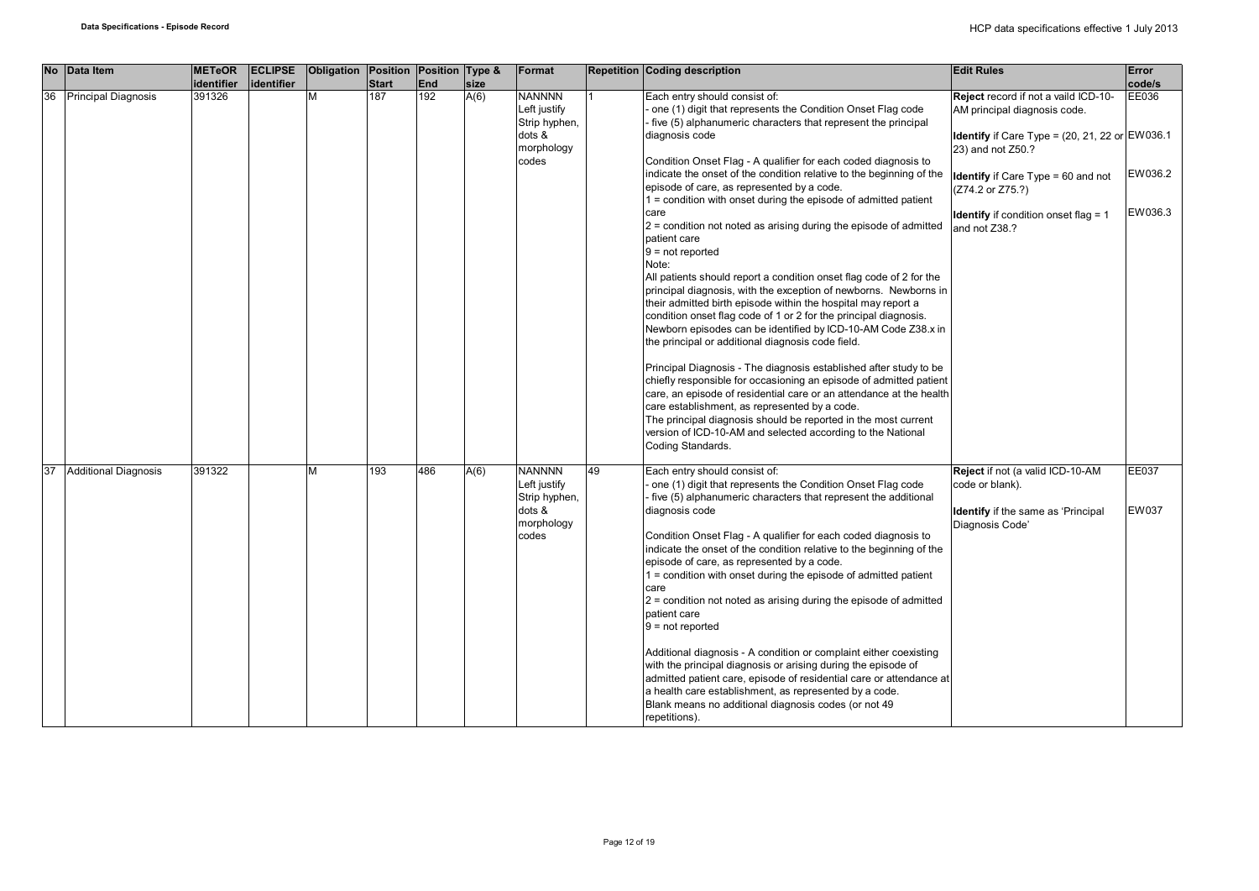|    |    | No Data Item                | <b>METeOR</b>        | <b>ECLIPSE</b> | Obligation | Position            | Position Type &   |              | Format                                                                          |    | <b>Repetition Coding description</b>                                                                                                                                                                                                                                                                                                                                                                                                                                                                                                                                                                                                                                                                                                                                                                                                                                                                                                                                                                                                                                                                                                                                                                                                                | <b>Edit Rules</b>                                                                                                                                                                                                                                                                           | Error                                 |
|----|----|-----------------------------|----------------------|----------------|------------|---------------------|-------------------|--------------|---------------------------------------------------------------------------------|----|-----------------------------------------------------------------------------------------------------------------------------------------------------------------------------------------------------------------------------------------------------------------------------------------------------------------------------------------------------------------------------------------------------------------------------------------------------------------------------------------------------------------------------------------------------------------------------------------------------------------------------------------------------------------------------------------------------------------------------------------------------------------------------------------------------------------------------------------------------------------------------------------------------------------------------------------------------------------------------------------------------------------------------------------------------------------------------------------------------------------------------------------------------------------------------------------------------------------------------------------------------|---------------------------------------------------------------------------------------------------------------------------------------------------------------------------------------------------------------------------------------------------------------------------------------------|---------------------------------------|
|    |    |                             |                      |                |            |                     |                   |              |                                                                                 |    |                                                                                                                                                                                                                                                                                                                                                                                                                                                                                                                                                                                                                                                                                                                                                                                                                                                                                                                                                                                                                                                                                                                                                                                                                                                     |                                                                                                                                                                                                                                                                                             |                                       |
|    | 36 | <b>Principal Diagnosis</b>  | identifier<br>391326 | lidentifier    | M          | <b>Start</b><br>187 | <b>End</b><br>192 | size<br>A(6) | <b>NANNNN</b><br>Left justify<br>Strip hyphen,<br>dots &<br>morphology<br>codes |    | Each entry should consist of:<br>one (1) digit that represents the Condition Onset Flag code<br>five (5) alphanumeric characters that represent the principal<br>diagnosis code<br>Condition Onset Flag - A qualifier for each coded diagnosis to<br>indicate the onset of the condition relative to the beginning of the<br>episode of care, as represented by a code.<br>$1 =$ condition with onset during the episode of admitted patient<br>care<br>$2$ = condition not noted as arising during the episode of admitted<br>patient care<br>$9 = not reported$<br>Note:<br>All patients should report a condition onset flag code of 2 for the<br>principal diagnosis, with the exception of newborns. Newborns in<br>their admitted birth episode within the hospital may report a<br>condition onset flag code of 1 or 2 for the principal diagnosis.<br>Newborn episodes can be identified by ICD-10-AM Code Z38.x in<br>the principal or additional diagnosis code field.<br>Principal Diagnosis - The diagnosis established after study to be<br>chiefly responsible for occasioning an episode of admitted patient<br>care, an episode of residential care or an attendance at the health<br>care establishment, as represented by a code. | Reject record if not a vaild ICD-10-<br>AM principal diagnosis code.<br>Identify if Care Type = $(20, 21, 22 \text{ or } EW036.1$<br>23) and not Z50.?<br><b>Identify</b> if Care $Type = 60$ and not<br>(Z74.2 or Z75.?)<br><b>Identify</b> if condition onset flag = $1$<br>and not Z38.? | code/s<br>EE036<br>EW036.2<br>EW036.3 |
| 37 |    | <b>Additional Diagnosis</b> | 391322               |                | M          | 193                 | 486               | A(6)         | <b>NANNNN</b><br>Left justify<br>Strip hyphen,<br>dots &<br>morphology<br>codes | 49 | The principal diagnosis should be reported in the most current<br>version of ICD-10-AM and selected according to the National<br>Coding Standards.<br>Each entry should consist of:<br>one (1) digit that represents the Condition Onset Flag code<br>five (5) alphanumeric characters that represent the additional<br>diagnosis code<br>Condition Onset Flag - A qualifier for each coded diagnosis to<br>indicate the onset of the condition relative to the beginning of the<br>episode of care, as represented by a code.<br>1 = condition with onset during the episode of admitted patient<br>care<br>$2$ = condition not noted as arising during the episode of admitted<br>patient care<br>$9 = not reported$<br>Additional diagnosis - A condition or complaint either coexisting<br>with the principal diagnosis or arising during the episode of<br>admitted patient care, episode of residential care or attendance at<br>a health care establishment, as represented by a code.<br>Blank means no additional diagnosis codes (or not 49<br>repetitions).                                                                                                                                                                              | Reject if not (a valid ICD-10-AM<br>code or blank).<br>Identify if the same as 'Principal<br>Diagnosis Code'                                                                                                                                                                                | EE037<br>EW037                        |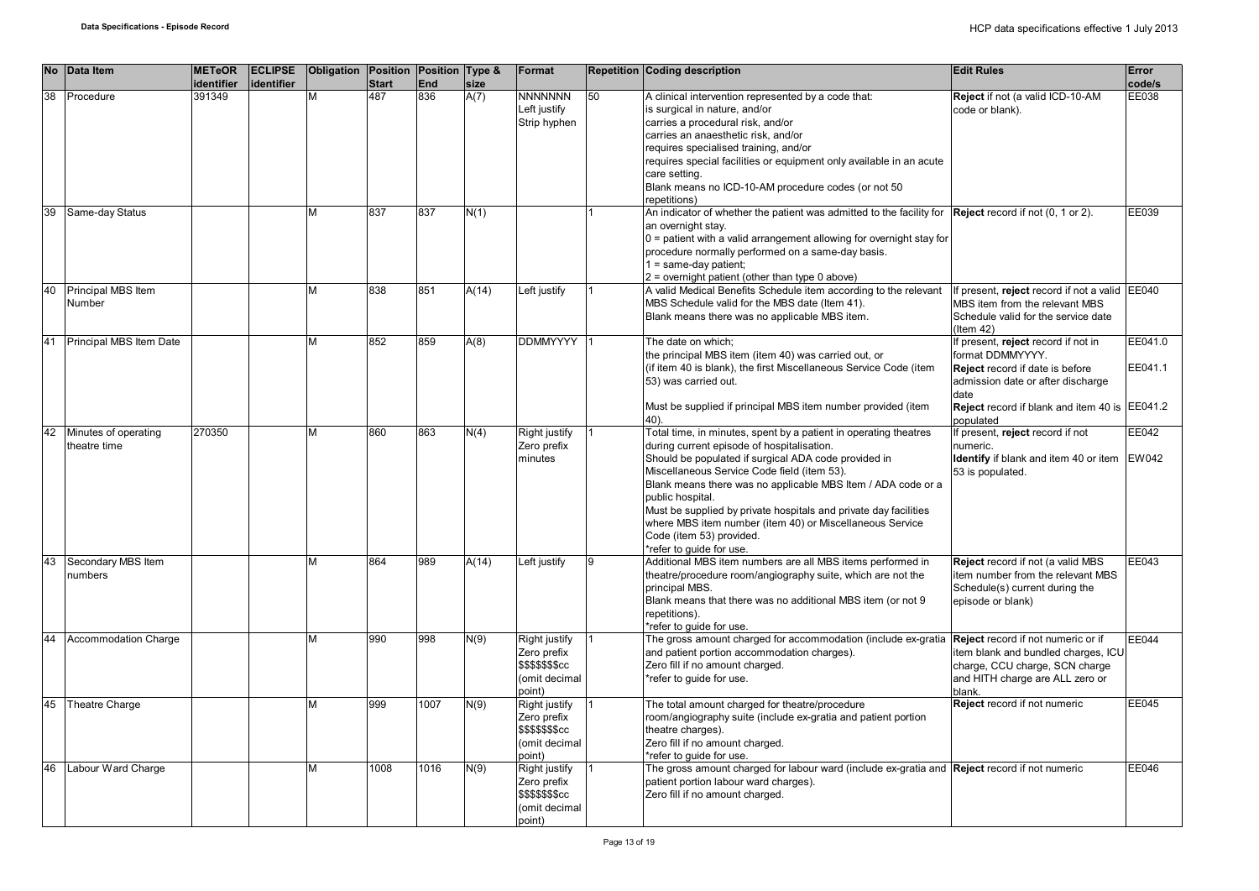|    | No Data Item                         | <b>METeOR</b><br>identifier | <b>ECLIPSE</b><br>identifier | Obligation Position Position Type & | <b>Start</b> | <b>End</b> | size  | Format                                                                             |    | <b>Repetition Coding description</b>                                                                                                                                                                                                                                                                                                                                                                                                                                                              | <b>Edit Rules</b>                                                                                                                                                                                            | <b>Error</b><br>code/s |
|----|--------------------------------------|-----------------------------|------------------------------|-------------------------------------|--------------|------------|-------|------------------------------------------------------------------------------------|----|---------------------------------------------------------------------------------------------------------------------------------------------------------------------------------------------------------------------------------------------------------------------------------------------------------------------------------------------------------------------------------------------------------------------------------------------------------------------------------------------------|--------------------------------------------------------------------------------------------------------------------------------------------------------------------------------------------------------------|------------------------|
| 38 | Procedure                            | 391349                      |                              | M                                   | 487          | 836        | A(7)  | <b>NNNNNNN</b><br>Left justify<br>Strip hyphen                                     | 50 | A clinical intervention represented by a code that:<br>is surgical in nature, and/or<br>carries a procedural risk, and/or<br>carries an anaesthetic risk, and/or<br>requires specialised training, and/or<br>requires special facilities or equipment only available in an acute<br>care setting.<br>Blank means no ICD-10-AM procedure codes (or not 50<br>repetitions)                                                                                                                          | Reject if not (a valid ICD-10-AM<br>code or blank).                                                                                                                                                          | EE038                  |
| 39 | Same-day Status                      |                             |                              | М                                   | 837          | 837        | N(1)  |                                                                                    |    | An indicator of whether the patient was admitted to the facility for Reject record if not (0, 1 or 2).<br>an overnight stay.<br>$0$ = patient with a valid arrangement allowing for overnight stay for<br>procedure normally performed on a same-day basis.<br>1 = same-day patient;<br>2 = overnight patient (other than type 0 above)                                                                                                                                                           |                                                                                                                                                                                                              | EE039                  |
| 40 | Principal MBS Item<br>Number         |                             |                              | М                                   | 838          | 851        | A(14) | Left justify                                                                       |    | A valid Medical Benefits Schedule item according to the relevant<br>MBS Schedule valid for the MBS date (Item 41).<br>Blank means there was no applicable MBS item.                                                                                                                                                                                                                                                                                                                               | If present, reject record if not a valid EE040<br>MBS item from the relevant MBS<br>Schedule valid for the service date<br>$($ ltem 42 $)$                                                                   |                        |
| 41 | Principal MBS Item Date              |                             |                              | М                                   | 852          | 859        | A(8)  | <b>DDMMYYYY</b>                                                                    |    | The date on which;<br>the principal MBS item (item 40) was carried out, or<br>(if item 40 is blank), the first Miscellaneous Service Code (item<br>53) was carried out.<br>Must be supplied if principal MBS item number provided (item<br>40).                                                                                                                                                                                                                                                   | If present, reject record if not in<br>format DDMMYYYY.<br><b>Reject</b> record if date is before<br>admission date or after discharge<br>date<br>Reject record if blank and item 40 is EE041.2<br>populated | EE041.0<br>EE041.1     |
| 42 | Minutes of operating<br>theatre time | 270350                      |                              | М                                   | 860          | 863        | N(4)  | <b>Right justify</b><br>Zero prefix<br>minutes                                     |    | Total time, in minutes, spent by a patient in operating theatres<br>during current episode of hospitalisation.<br>Should be populated if surgical ADA code provided in<br>Miscellaneous Service Code field (item 53).<br>Blank means there was no applicable MBS Item / ADA code or a<br>public hospital.<br>Must be supplied by private hospitals and private day facilities<br>where MBS item number (item 40) or Miscellaneous Service<br>Code (item 53) provided.<br>*refer to quide for use. | If present, reject record if not<br>numeric.<br>Identify if blank and item 40 or item<br>53 is populated.                                                                                                    | EE042<br><b>EW042</b>  |
| 43 | Secondary MBS Item<br>numbers        |                             |                              | М                                   | 864          | 989        | A(14) | Left justify                                                                       | 9  | Additional MBS item numbers are all MBS items performed in<br>theatre/procedure room/angiography suite, which are not the<br>principal MBS.<br>Blank means that there was no additional MBS item (or not 9<br>repetitions).<br>*refer to quide for use.                                                                                                                                                                                                                                           | Reject record if not (a valid MBS<br>item number from the relevant MBS<br>Schedule(s) current during the<br>episode or blank)                                                                                | EE043                  |
| 44 | <b>Accommodation Charge</b>          |                             |                              | М                                   | 990          | 998        | N(9)  | Right justify<br>Zero prefix<br><b>\$\$\$\$\$\$\$cc</b><br>(omit decimal<br>point) |    | The gross amount charged for accommodation (include ex-gratia<br>and patient portion accommodation charges).<br>Zero fill if no amount charged.<br>*refer to quide for use.                                                                                                                                                                                                                                                                                                                       | Reject record if not numeric or if<br>item blank and bundled charges, ICU<br>charge, CCU charge, SCN charge<br>and HITH charge are ALL zero or<br>blank.                                                     | EE044                  |
| 45 | Theatre Charge                       |                             |                              | М                                   | 999          | 1007       | N(9)  | Right justify<br>Zero prefix<br><b>\$\$\$\$\$\$\$cc</b><br>(omit decimal<br>point) |    | The total amount charged for theatre/procedure<br>room/angiography suite (include ex-gratia and patient portion<br>theatre charges).<br>Zero fill if no amount charged.<br>*refer to guide for use.                                                                                                                                                                                                                                                                                               | Reject record if not numeric                                                                                                                                                                                 | EE045                  |
| 46 | Labour Ward Charge                   |                             |                              | М                                   | 1008         | 1016       | N(9)  | Right justify<br>Zero prefix<br>\$\$\$\$\$\$\$cc<br>(omit decimal<br>point)        |    | The gross amount charged for labour ward (include ex-gratia and Reject record if not numeric<br>patient portion labour ward charges).<br>Zero fill if no amount charged.                                                                                                                                                                                                                                                                                                                          |                                                                                                                                                                                                              | EE046                  |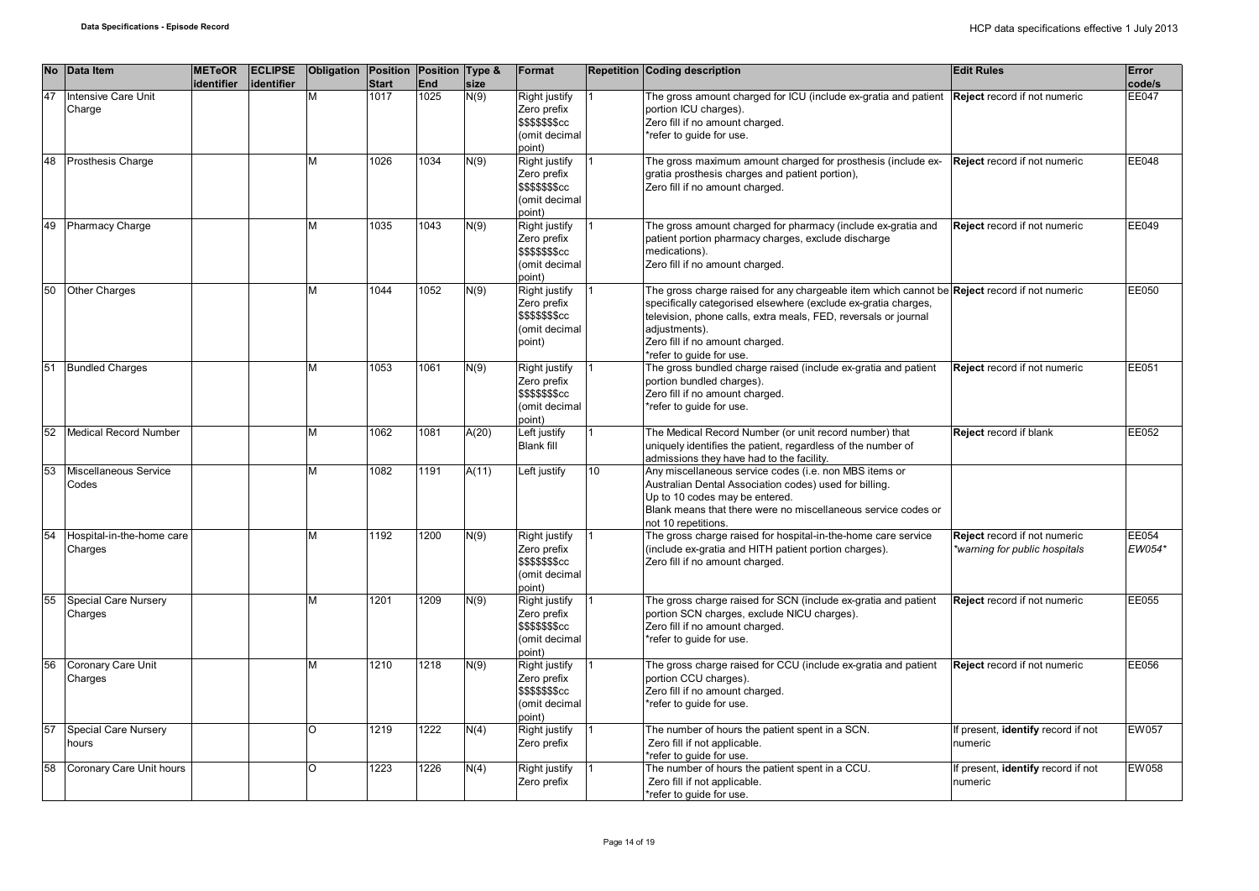|    | No Data Item                           | <b>METeOR</b><br>identifier | <b>ECLIPSE</b><br>identifier | Obligation Position Position Type & | <b>Start</b> | <b>End</b> | size         | Format                                                                      |                  | <b>Repetition Coding description</b>                                                                                                                                                                                                                                                                              | <b>Edit Rules</b>                                             | Error<br>code/s |
|----|----------------------------------------|-----------------------------|------------------------------|-------------------------------------|--------------|------------|--------------|-----------------------------------------------------------------------------|------------------|-------------------------------------------------------------------------------------------------------------------------------------------------------------------------------------------------------------------------------------------------------------------------------------------------------------------|---------------------------------------------------------------|-----------------|
| 47 | <b>Intensive Care Unit</b><br>Charge   |                             |                              | M                                   | 1017         | 1025       | N(9)         | Right justify<br>Zero prefix<br>\$\$\$\$\$\$\$cc<br>(omit decimal<br>(point |                  | The gross amount charged for ICU (include ex-gratia and patient<br>portion ICU charges).<br>Zero fill if no amount charged.<br>*refer to guide for use.                                                                                                                                                           | Reject record if not numeric                                  | <b>EE047</b>    |
| 48 | <b>Prosthesis Charge</b>               |                             |                              | M                                   | 1026         | 1034       | $\sqrt{(9)}$ | Right justify<br>Zero prefix<br>\$\$\$\$\$\$\$cc<br>(omit decimal<br>point) |                  | The gross maximum amount charged for prosthesis (include ex-<br>gratia prosthesis charges and patient portion),<br>Zero fill if no amount charged.                                                                                                                                                                | Reject record if not numeric                                  | EE048           |
| 49 | <b>Pharmacy Charge</b>                 |                             |                              | M                                   | 1035         | 1043       | N(9)         | Right justify<br>Zero prefix<br>\$\$\$\$\$\$\$cc<br>(omit decimal<br>(point |                  | The gross amount charged for pharmacy (include ex-gratia and<br>patient portion pharmacy charges, exclude discharge<br>medications).<br>Zero fill if no amount charged.                                                                                                                                           | Reject record if not numeric                                  | EE049           |
| 50 | <b>Other Charges</b>                   |                             |                              | м                                   | 1044         | 1052       | N(9)         | Right justify<br>Zero prefix<br>\$\$\$\$\$\$\$cc<br>(omit decimal<br>point) |                  | The gross charge raised for any chargeable item which cannot be Reject record if not numeric<br>specifically categorised elsewhere (exclude ex-gratia charges,<br>television, phone calls, extra meals, FED, reversals or journal<br>adiustments).<br>Zero fill if no amount charged.<br>*refer to guide for use. |                                                               | EE050           |
| 51 | <b>Bundled Charges</b>                 |                             |                              | M                                   | 1053         | 1061       | N(9)         | Right justify<br>Zero prefix<br>\$\$\$\$\$\$\$cc<br>(omit decimal<br>point) |                  | The gross bundled charge raised (include ex-gratia and patient<br>portion bundled charges).<br>Zero fill if no amount charged.<br>*refer to guide for use.                                                                                                                                                        | Reject record if not numeric                                  | EE051           |
| 52 | Medical Record Number                  |                             |                              | M                                   | 1062         | 1081       | A(20)        | Left justify<br><b>Blank fill</b>                                           |                  | The Medical Record Number (or unit record number) that<br>uniquely identifies the patient, regardless of the number of<br>admissions they have had to the facility.                                                                                                                                               | Reject record if blank                                        | EE052           |
| 53 | Miscellaneous Service<br>Codes         |                             |                              | м                                   | 1082         | 1191       | A(11)        | Left justify                                                                | 10 <sup>10</sup> | Any miscellaneous service codes (i.e. non MBS items or<br>Australian Dental Association codes) used for billing.<br>Up to 10 codes may be entered.<br>Blank means that there were no miscellaneous service codes or<br>not 10 repetitions.                                                                        |                                                               |                 |
| 54 | Hospital-in-the-home care<br>Charges   |                             |                              | M                                   | 1192         | 1200       | N(9)         | Right justify<br>Zero prefix<br>\$\$\$\$\$\$\$cc<br>(omit decimal<br>point) |                  | The gross charge raised for hospital-in-the-home care service<br>(include ex-gratia and HITH patient portion charges).<br>Zero fill if no amount charged.                                                                                                                                                         | Reject record if not numeric<br>*warning for public hospitals | EE054<br>EW054* |
| 55 | <b>Special Care Nursery</b><br>Charges |                             |                              | M                                   | 1201         | 1209       | N(9)         | Right justify<br>Zero prefix<br>\$\$\$\$\$\$\$cc<br>(omit decimal<br>(point |                  | The gross charge raised for SCN (include ex-gratia and patient<br>portion SCN charges, exclude NICU charges).<br>Zero fill if no amount charged.<br>*refer to quide for use.                                                                                                                                      | Reject record if not numeric                                  | EE055           |
| 56 | Coronary Care Unit<br>Charges          |                             |                              | M                                   | 1210         | 1218       | N(9)         | Right justify<br>Zero prefix<br>\$\$\$\$\$\$\$cc<br>(omit decimal<br>point) |                  | The gross charge raised for CCU (include ex-gratia and patient<br>portion CCU charges).<br>Zero fill if no amount charged.<br>*refer to guide for use.                                                                                                                                                            | Reject record if not numeric                                  | EE056           |
| 57 | Special Care Nursery<br>hours          |                             |                              | O                                   | 1219         | 1222       | N(4)         | Right justify<br>Zero prefix                                                |                  | The number of hours the patient spent in a SCN.<br>Zero fill if not applicable.<br>*refer to quide for use.                                                                                                                                                                                                       | If present, identify record if not<br>numeric                 | EW057           |
| 58 | Coronary Care Unit hours               |                             |                              | O                                   | 1223         | 1226       | N(4)         | Right justify<br>Zero prefix                                                |                  | The number of hours the patient spent in a CCU.<br>Zero fill if not applicable.<br>*refer to quide for use.                                                                                                                                                                                                       | If present, identify record if not<br>numeric                 | <b>EW058</b>    |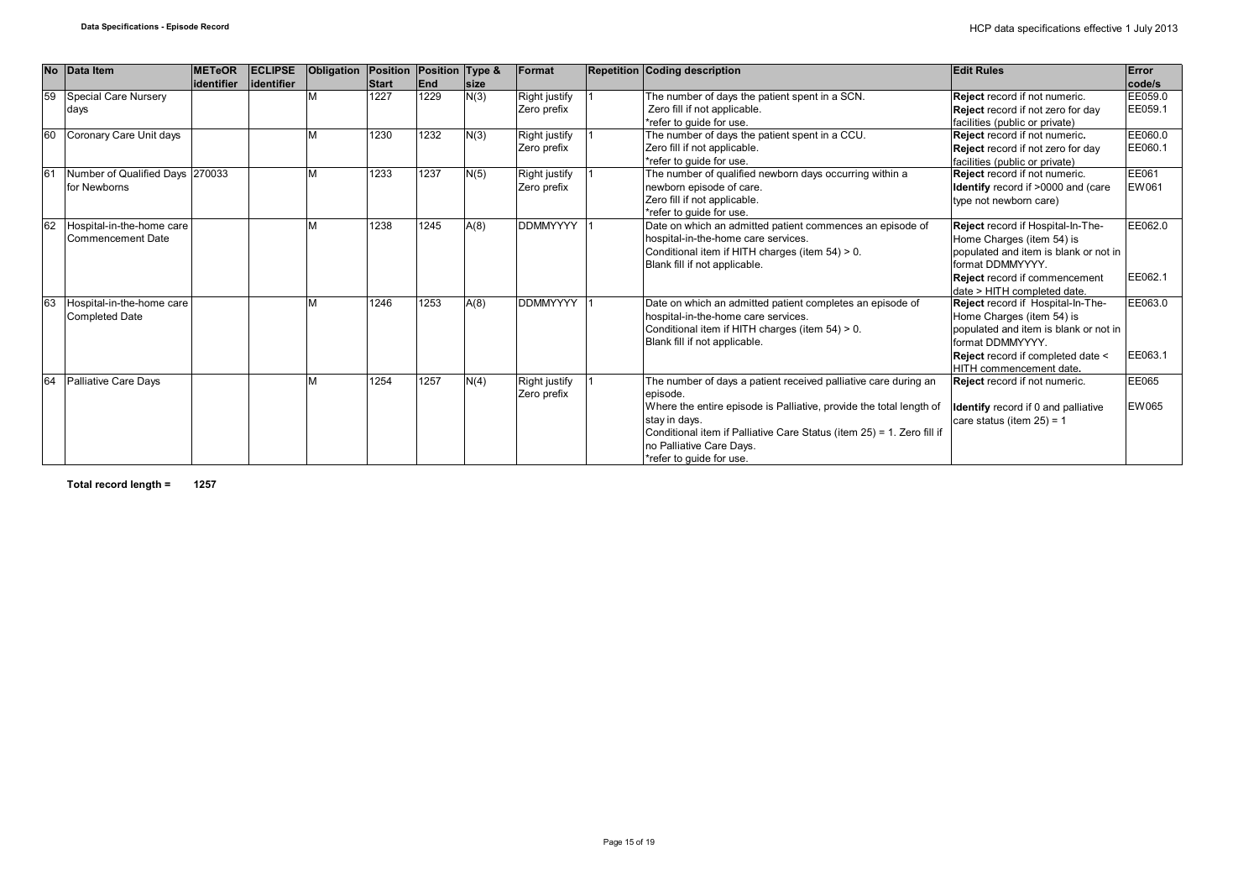| <b>No</b> | Data Item                                          | <b>METeOR</b><br>lidentifier | <b>ECLIPSE</b><br>lidentifier | Obligation | Position Position Type &<br><b>Start</b> | <b>End</b> | <b>Size</b> | Format                       | <b>Repetition Coding description</b>                                                                                                                                                                                                                                                                  | <b>Edit Rules</b>                                                                                                                                                                                                          | Error<br>code/s    |
|-----------|----------------------------------------------------|------------------------------|-------------------------------|------------|------------------------------------------|------------|-------------|------------------------------|-------------------------------------------------------------------------------------------------------------------------------------------------------------------------------------------------------------------------------------------------------------------------------------------------------|----------------------------------------------------------------------------------------------------------------------------------------------------------------------------------------------------------------------------|--------------------|
| 59        | Special Care Nursery<br>days                       |                              |                               |            | 1227                                     | 1229       | N(3)        | Right justify<br>Zero prefix | The number of days the patient spent in a SCN.<br>Zero fill if not applicable.<br>*refer to quide for use.                                                                                                                                                                                            | Reject record if not numeric.<br>Reject record if not zero for day<br>facilities (public or private)                                                                                                                       | EE059.0<br>EE059.1 |
| 60        | Coronary Care Unit days                            |                              |                               |            | 1230                                     | 1232       | N(3)        | Right justify<br>Zero prefix | The number of days the patient spent in a CCU.<br>Zero fill if not applicable.<br>*refer to quide for use.                                                                                                                                                                                            | Reject record if not numeric.<br>Reject record if not zero for day<br>facilities (public or private)                                                                                                                       | EE060.0<br>EE060.1 |
|           | Number of Qualified Days 270033<br>for Newborns    |                              |                               |            | 1233                                     | 1237       | N(5)        | Right justify<br>Zero prefix | The number of qualified newborn days occurring within a<br>newborn episode of care.<br>Zero fill if not applicable.<br>*refer to quide for use.                                                                                                                                                       | Reject record if not numeric.<br>Identify record if >0000 and (care<br>type not newborn care)                                                                                                                              | EE061<br>EW061     |
| 62        | Hospital-in-the-home care<br>Commencement Date     |                              |                               |            | 1238                                     | 1245       | A(8)        | <b>DDMMYYYY</b>              | Date on which an admitted patient commences an episode of<br>hospital-in-the-home care services.<br>Conditional item if HITH charges (item 54) > 0.<br>Blank fill if not applicable.                                                                                                                  | Reject record if Hospital-In-The-<br>Home Charges (item 54) is<br>populated and item is blank or not in<br>format DDMMYYYY.<br>Reject record if commencement                                                               | EE062.0<br>EE062.1 |
| 6         | Hospital-in-the-home care<br><b>Completed Date</b> |                              |                               |            | 1246                                     | 1253       | A(8)        | <b>DDMMYYYY</b>              | Date on which an admitted patient completes an episode of<br>hospital-in-the-home care services.<br>Conditional item if HITH charges (item 54) > 0.<br>Blank fill if not applicable.                                                                                                                  | date > HITH completed date.<br>Reject record if Hospital-In-The-<br>Home Charges (item 54) is<br>populated and item is blank or not in<br>format DDMMYYYY.<br>Reject record if completed date <<br>HITH commencement date. | EE063.0<br>EE063.1 |
|           | Palliative Care Days                               |                              |                               |            | 1254                                     | 1257       | N(4)        | Right justify<br>Zero prefix | The number of days a patient received palliative care during an<br>episode.<br>Where the entire episode is Palliative, provide the total length of<br>stay in days.<br>Conditional item if Palliative Care Status (item 25) = 1. Zero fill if<br>no Palliative Care Days.<br>*refer to guide for use. | Reject record if not numeric.<br><b>Identify</b> record if 0 and palliative<br>care status (item $25$ ) = 1                                                                                                                | EE065<br>EW065     |

**Total record length = 1257**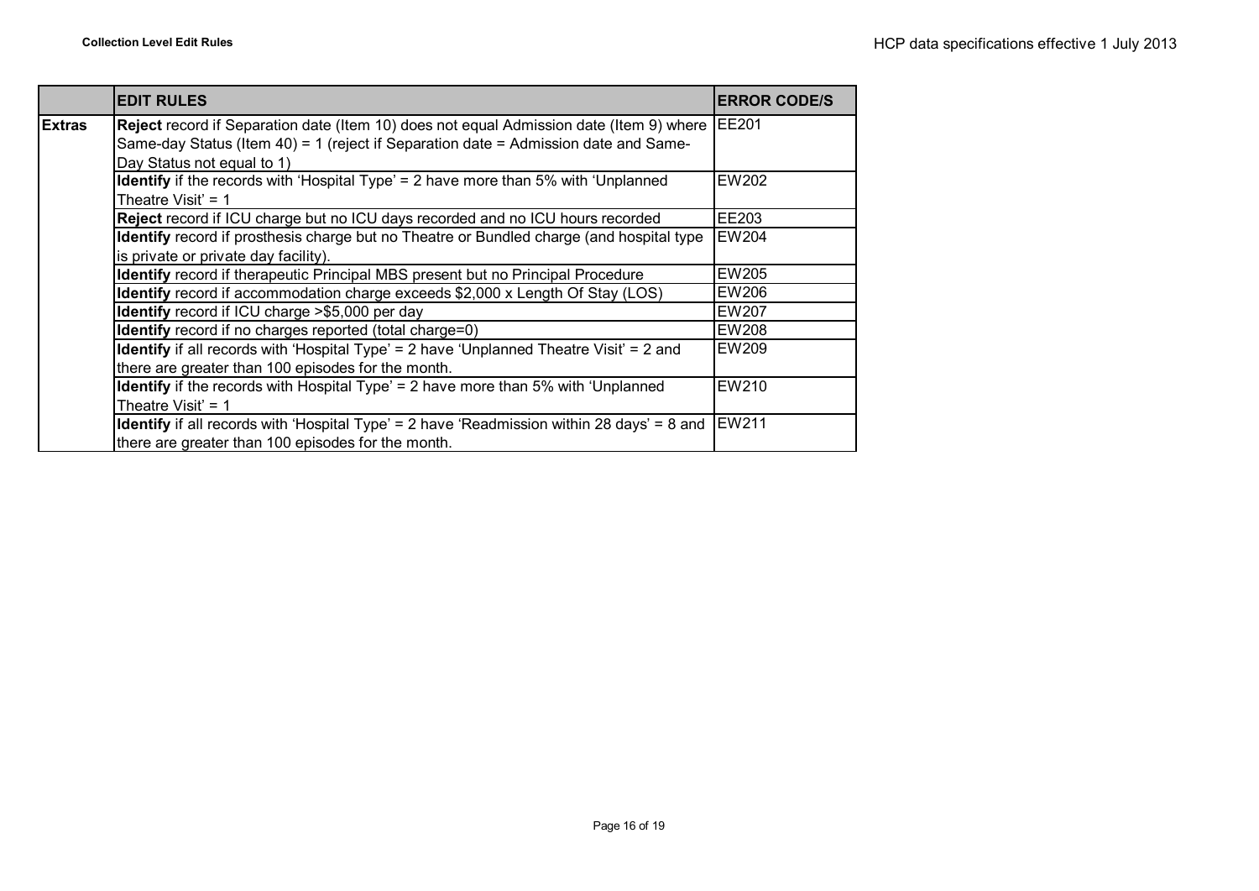|               | <b>EDIT RULES</b>                                                                                 | <b>ERROR CODE/S</b> |
|---------------|---------------------------------------------------------------------------------------------------|---------------------|
| <b>Extras</b> | Reject record if Separation date (Item 10) does not equal Admission date (Item 9) where           | <b>IEE201</b>       |
|               | Same-day Status (Item 40) = 1 (reject if Separation date = Admission date and Same-               |                     |
|               | Day Status not equal to 1)                                                                        |                     |
|               | <b>Identify</b> if the records with 'Hospital Type' = 2 have more than 5% with 'Unplanned         | EW202               |
|               | Theatre Visit' = $1$                                                                              |                     |
|               | Reject record if ICU charge but no ICU days recorded and no ICU hours recorded                    | EE203               |
|               | <b>Identify</b> record if prosthesis charge but no Theatre or Bundled charge (and hospital type   | <b>EW204</b>        |
|               | is private or private day facility).                                                              |                     |
|               | <b>Identify</b> record if therapeutic Principal MBS present but no Principal Procedure            | EW205               |
|               | Identify record if accommodation charge exceeds \$2,000 x Length Of Stay (LOS)                    | EW206               |
|               | Identify record if ICU charge >\$5,000 per day                                                    | EW207               |
|               | <b>Identify</b> record if no charges reported (total charge=0)                                    | <b>EW208</b>        |
|               | <b>Identify</b> if all records with 'Hospital Type' = 2 have 'Unplanned Theatre Visit' = 2 and    | EW209               |
|               | there are greater than 100 episodes for the month.                                                |                     |
|               | Identify if the records with Hospital Type' = 2 have more than 5% with 'Unplanned                 | EW210               |
|               | Theatre Visit' = $1$                                                                              |                     |
|               | <b>Identify</b> if all records with 'Hospital Type' = 2 have 'Readmission within 28 days' = 8 and | EW211               |
|               | there are greater than 100 episodes for the month.                                                |                     |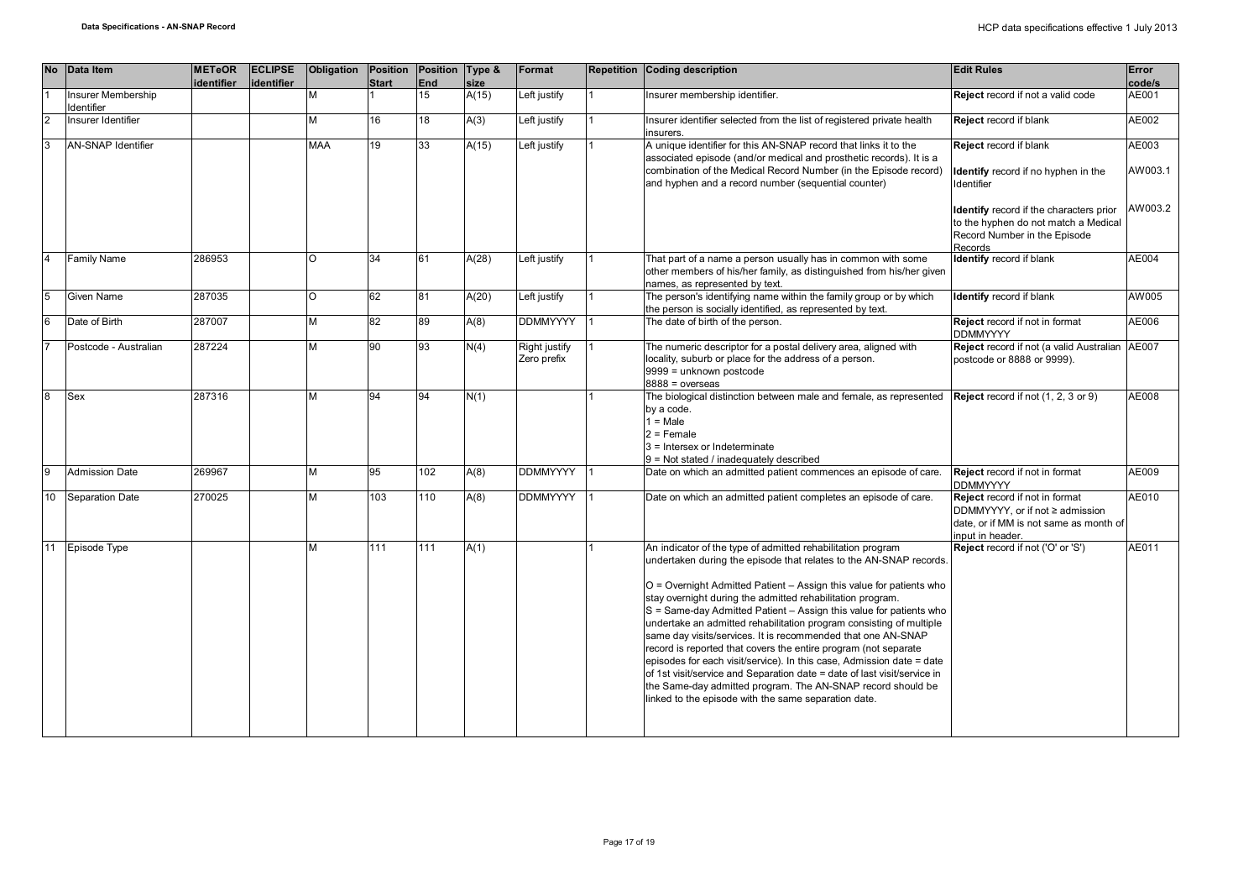| <b>No</b>       | Data Item                        | <b>METeOR</b><br>identifier | <b>ECLIPSE</b><br>identifier | Obligation | <b>Position</b><br><b>Start</b> | <b>Position</b><br>End | Type &<br>size | Format                       | <b>Repetition Coding description</b>                                                                                                                                                                                                                                                                                                                                                                                                                                                                                                                                                                                                                                                                                                                                                                                               | <b>Edit Rules</b>                                                                                                               | Error<br>code/s  |
|-----------------|----------------------------------|-----------------------------|------------------------------|------------|---------------------------------|------------------------|----------------|------------------------------|------------------------------------------------------------------------------------------------------------------------------------------------------------------------------------------------------------------------------------------------------------------------------------------------------------------------------------------------------------------------------------------------------------------------------------------------------------------------------------------------------------------------------------------------------------------------------------------------------------------------------------------------------------------------------------------------------------------------------------------------------------------------------------------------------------------------------------|---------------------------------------------------------------------------------------------------------------------------------|------------------|
|                 | Insurer Membership<br>Identifier |                             |                              | М          |                                 | 15                     | A(15)          | Left justify                 | nsurer membership identifier.                                                                                                                                                                                                                                                                                                                                                                                                                                                                                                                                                                                                                                                                                                                                                                                                      | Reject record if not a valid code                                                                                               | AE001            |
| 2               | Insurer Identifier               |                             |                              | М          | 16                              | 18                     | A(3)           | Left justify                 | Insurer identifier selected from the list of registered private health<br>insurers.                                                                                                                                                                                                                                                                                                                                                                                                                                                                                                                                                                                                                                                                                                                                                | Reject record if blank                                                                                                          | AE002            |
| 3               | <b>AN-SNAP Identifier</b>        |                             |                              | <b>MAA</b> | 19                              | 33                     | A(15)          | Left justify                 | A unique identifier for this AN-SNAP record that links it to the<br>associated episode (and/or medical and prosthetic records). It is a<br>combination of the Medical Record Number (in the Episode record)<br>and hyphen and a record number (sequential counter)                                                                                                                                                                                                                                                                                                                                                                                                                                                                                                                                                                 | Reject record if blank<br>Identify record if no hyphen in the<br>Identifier                                                     | AE003<br>AW003.1 |
|                 |                                  |                             |                              |            |                                 |                        |                |                              |                                                                                                                                                                                                                                                                                                                                                                                                                                                                                                                                                                                                                                                                                                                                                                                                                                    | Identify record if the characters prior<br>to the hyphen do not match a Medical<br>Record Number in the Episode<br>Records      | AW003.2          |
|                 | Family Name                      | 286953                      |                              | O          | 34                              | 61                     | A(28)          | Left justify                 | That part of a name a person usually has in common with some<br>other members of his/her family, as distinguished from his/her given<br>names, as represented by text.                                                                                                                                                                                                                                                                                                                                                                                                                                                                                                                                                                                                                                                             | <b>Identify</b> record if blank                                                                                                 | AE004            |
| 5               | Given Name                       | 287035                      |                              | $\circ$    | 62                              | 81                     | A(20)          | Left justify                 | The person's identifying name within the family group or by which<br>the person is socially identified, as represented by text.                                                                                                                                                                                                                                                                                                                                                                                                                                                                                                                                                                                                                                                                                                    | <b>Identify</b> record if blank                                                                                                 | AW005            |
| 6               | Date of Birth                    | 287007                      |                              | м          | 82                              | 89                     | A(8)           | <b>DDMMYYYY</b>              | The date of birth of the person.                                                                                                                                                                                                                                                                                                                                                                                                                                                                                                                                                                                                                                                                                                                                                                                                   | Reject record if not in format<br><b>DDMMYYYY</b>                                                                               | AE006            |
|                 | Postcode - Australian            | 287224                      |                              | M          | 90                              | 93                     | N(4)           | Right justify<br>Zero prefix | The numeric descriptor for a postal delivery area, aligned with<br>locality, suburb or place for the address of a person.<br>9999 = unknown postcode<br>$8888 = 0$ verseas                                                                                                                                                                                                                                                                                                                                                                                                                                                                                                                                                                                                                                                         | Reject record if not (a valid Australian<br>postcode or 8888 or 9999).                                                          | AE007            |
| 8               | Sex                              | 287316                      |                              | M          | 94                              | 94                     | N(1)           |                              | The biological distinction between male and female, as represented<br>by a code.<br>$1 = Male$<br>$2$ = Female<br>3 = Intersex or Indeterminate<br>9 = Not stated / inadequately described                                                                                                                                                                                                                                                                                                                                                                                                                                                                                                                                                                                                                                         | Reject record if not (1, 2, 3 or 9)                                                                                             | AE008            |
| 9               | <b>Admission Date</b>            | 269967                      |                              | М          | 95                              | 102                    | A(8)           | <b>DDMMYYYY</b>              | Date on which an admitted patient commences an episode of care.                                                                                                                                                                                                                                                                                                                                                                                                                                                                                                                                                                                                                                                                                                                                                                    | Reject record if not in format<br><b>DDMMYYYY</b>                                                                               | AE009            |
| 10 <sup>1</sup> | Separation Date                  | 270025                      |                              | М          | 103                             | 110                    | A(8)           | <b>DDMMYYYY</b>              | Date on which an admitted patient completes an episode of care.                                                                                                                                                                                                                                                                                                                                                                                                                                                                                                                                                                                                                                                                                                                                                                    | Reject record if not in format<br>DDMMYYYY, or if not ≥ admission<br>date, or if MM is not same as month of<br>input in header. | AE010            |
| 11              | Episode Type                     |                             |                              | м          | 111                             | 111                    | A(1)           |                              | An indicator of the type of admitted rehabilitation program<br>undertaken during the episode that relates to the AN-SNAP records.<br>O = Overnight Admitted Patient - Assign this value for patients who<br>stay overnight during the admitted rehabilitation program.<br>S = Same-day Admitted Patient - Assign this value for patients who<br>undertake an admitted rehabilitation program consisting of multiple<br>same day visits/services. It is recommended that one AN-SNAP<br>record is reported that covers the entire program (not separate<br>episodes for each visit/service). In this case, Admission date = date<br>of 1st visit/service and Separation date = date of last visit/service in<br>the Same-day admitted program. The AN-SNAP record should be<br>linked to the episode with the same separation date. | Reject record if not ('O' or 'S')                                                                                               | AE011            |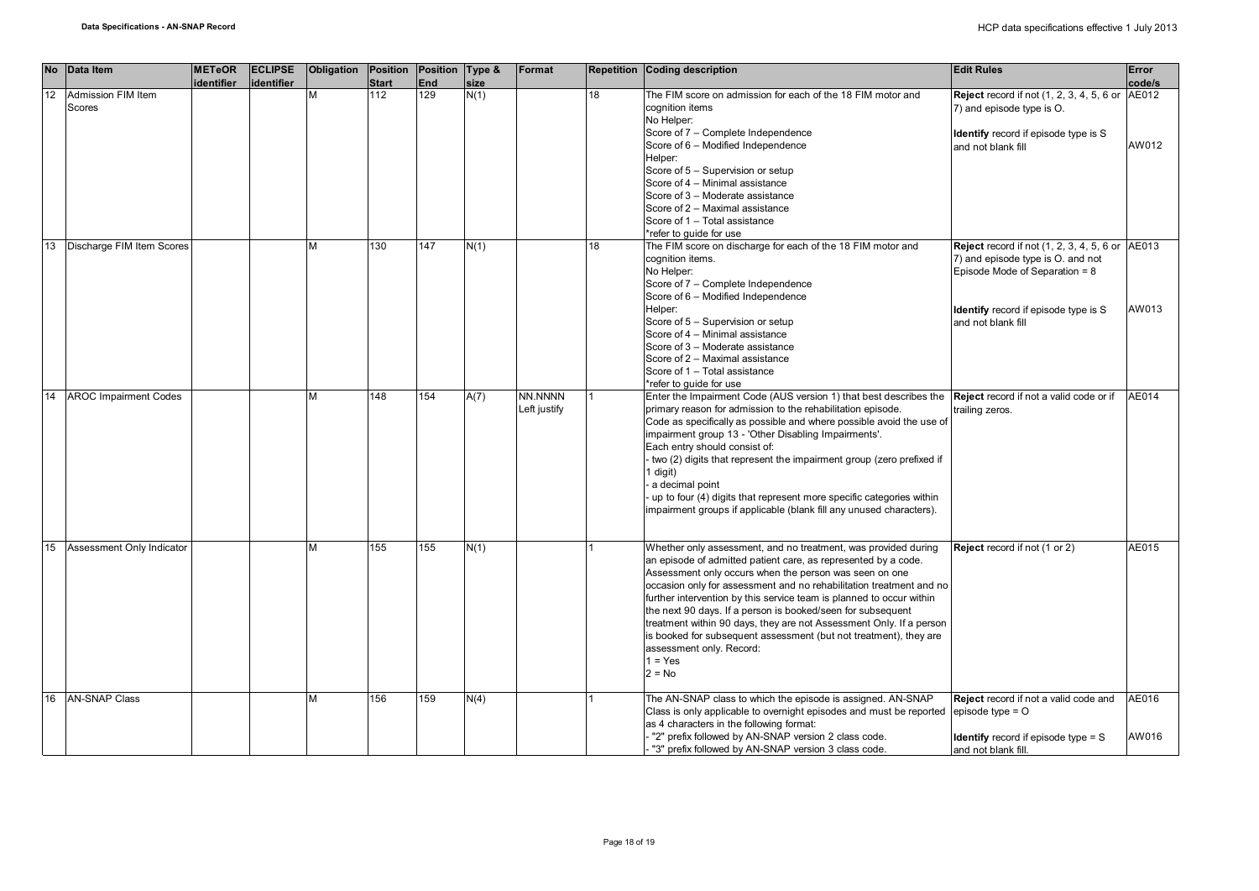| <b>No</b> | Data Item                    | <b>METeOR</b><br>identifier | <b>ECLIPSE</b><br>identifier | Obligation | Position Position Type &<br><b>Start</b> | <b>End</b> | size | Format                  |    | <b>Repetition Coding description</b>                                                                                                                                                                                                                                                                                                                                                                                                                                                                                                                                                                      | <b>Edit Rules</b>                                                                                                                                                                                    | Error<br>code/s |
|-----------|------------------------------|-----------------------------|------------------------------|------------|------------------------------------------|------------|------|-------------------------|----|-----------------------------------------------------------------------------------------------------------------------------------------------------------------------------------------------------------------------------------------------------------------------------------------------------------------------------------------------------------------------------------------------------------------------------------------------------------------------------------------------------------------------------------------------------------------------------------------------------------|------------------------------------------------------------------------------------------------------------------------------------------------------------------------------------------------------|-----------------|
| 12        | Admission FIM Item<br>Scores |                             |                              | м          | 112                                      | 129        | N(1) |                         | 18 | The FIM score on admission for each of the 18 FIM motor and<br>cognition items<br>No Helper:<br>Score of 7 - Complete Independence<br>Score of 6 - Modified Independence<br>Helper:<br>Score of 5 - Supervision or setup<br>Score of 4 - Minimal assistance<br>Score of 3 - Moderate assistance<br>Score of 2 - Maximal assistance<br>Score of 1 - Total assistance<br>*refer to quide for use                                                                                                                                                                                                            | <b>Reject</b> record if not (1, 2, 3, 4, 5, 6 or<br>7) and episode type is O.<br><b>Identify</b> record if episode type is S<br>and not blank fill                                                   | AE012<br>AW012  |
| 13        | Discharge FIM Item Scores    |                             |                              | М          | 130                                      | 147        | N(1) |                         | 18 | The FIM score on discharge for each of the 18 FIM motor and<br>cognition items.<br>No Helper:<br>Score of 7 - Complete Independence<br>Score of 6 - Modified Independence<br>Helper:<br>Score of 5 - Supervision or setup<br>Score of 4 - Minimal assistance<br>Score of 3 - Moderate assistance<br>Score of 2 - Maximal assistance<br>Score of 1 - Total assistance<br>*refer to quide for use                                                                                                                                                                                                           | <b>Reject</b> record if not (1, 2, 3, 4, 5, 6 or AE013<br>7) and episode type is O. and not<br>Episode Mode of Separation = $8$<br><b>Identify</b> record if episode type is S<br>and not blank fill | AW013           |
| 14        | <b>AROC Impairment Codes</b> |                             |                              | М          | 148                                      | 154        | A(7) | NN.NNNN<br>Left justify |    | Enter the Impairment Code (AUS version 1) that best describes the Reject record if not a valid code or if<br>primary reason for admission to the rehabilitation episode.<br>Code as specifically as possible and where possible avoid the use of<br>impairment group 13 - 'Other Disabling Impairments'.<br>Each entry should consist of:<br>two (2) digits that represent the impairment group (zero prefixed if<br>1 digit)<br>a decimal point<br>up to four (4) digits that represent more specific categories within<br>impairment groups if applicable (blank fill any unused characters).           | trailing zeros.                                                                                                                                                                                      | AE014           |
| 15        | Assessment Only Indicator    |                             |                              | м          | 155                                      | 155        | N(1) |                         |    | Whether only assessment, and no treatment, was provided during<br>an episode of admitted patient care, as represented by a code.<br>Assessment only occurs when the person was seen on one<br>occasion only for assessment and no rehabilitation treatment and no<br>further intervention by this service team is planned to occur within<br>the next 90 days. If a person is booked/seen for subsequent<br>treatment within 90 days, they are not Assessment Only. If a person<br>is booked for subsequent assessment (but not treatment), they are<br>assessment only. Record:<br>$1 = Yes$<br>$2 = No$ | Reject record if not (1 or 2)                                                                                                                                                                        | AE015           |
| 16        | <b>AN-SNAP Class</b>         |                             |                              | М          | 156                                      | 159        | N(4) |                         |    | The AN-SNAP class to which the episode is assigned. AN-SNAP<br>Class is only applicable to overnight episodes and must be reported<br>as 4 characters in the following format:<br>"2" prefix followed by AN-SNAP version 2 class code.<br>"3" prefix followed by AN-SNAP version 3 class code.                                                                                                                                                                                                                                                                                                            | Reject record if not a valid code and<br>episode type $=$ $\circ$<br><b>Identify</b> record if episode type $=$ S<br>and not blank fill.                                                             | AE016<br>AW016  |